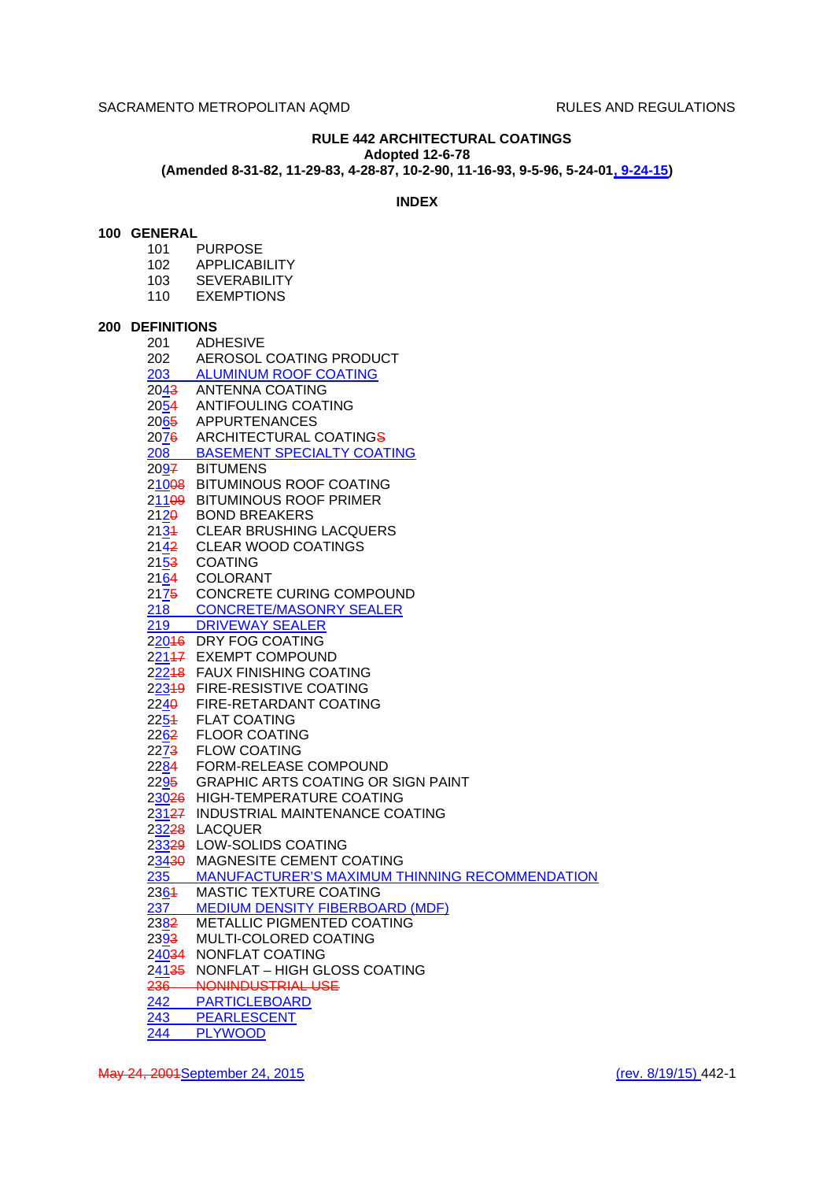# **RULE 442 ARCHITECTURAL COATINGS**

**Adopted 12-6-78**

**(Amended 8-31-82, 11-29-83, 4-28-87, 10-2-90, 11-16-93, 9-5-96, 5-24-01, 9-24-15)**

# **INDEX**

# **100 GENERAL**

- 101 PURPOSE
- 102 APPLICABILITY
- 103 SEVERABILITY
- 110 EXEMPTIONS

## **200 DEFINITIONS**

| 201  | <b>ADHESIVE</b>                                    |
|------|----------------------------------------------------|
| 202  | AEROSOL COATING PRODUCT                            |
|      | 203 ALUMINUM ROOF COATING                          |
|      | 2043 ANTENNA COATING                               |
|      | 2054 ANTIFOULING COATING                           |
|      | 2065 APPURTENANCES                                 |
|      | 2076 ARCHITECTURAL COATINGS                        |
|      | 208 BASEMENT SPECIALTY COATING                     |
|      | 2097 BITUMENS                                      |
|      | 21008 BITUMINOUS ROOF COATING                      |
|      | 211 <del>09</del> BITUMINOUS ROOF PRIMER           |
|      | 2120 BOND BREAKERS                                 |
| 2134 | <b>CLEAR BRUSHING LACQUERS</b>                     |
|      | 2142 CLEAR WOOD COATINGS                           |
|      | 2153 COATING                                       |
|      | 2164 COLORANT                                      |
|      | 2175 CONCRETE CURING COMPOUND                      |
|      | 218 CONCRETE/MASONRY SEALER<br>219 DRIVEWAY SEALER |
|      |                                                    |
|      | 22046 DRY FOG COATING                              |
|      | 22147 EXEMPT COMPOUND                              |
|      | 22248 FAUX FINISHING COATING                       |
|      | 22349 FIRE-RESISTIVE COATING                       |
|      | 2240 FIRE-RETARDANT COATING                        |
|      | 2254 FLAT COATING                                  |
|      | 2262 FLOOR COATING                                 |
|      | 2273 FLOW COATING                                  |
|      | 2284 FORM-RELEASE COMPOUND                         |
|      | 2295 GRAPHIC ARTS COATING OR SIGN PAINT            |
|      | 23026 HIGH-TEMPERATURE COATING                     |
|      | 23127 INDUSTRIAL MAINTENANCE COATING               |
|      | 23228 LACQUER                                      |
|      | 23329 LOW-SOLIDS COATING                           |
|      | 23430 MAGNESITE CEMENT COATING                     |
|      | 235 MANUFACTURER'S MAXIMUM THINNING RECOMMENDATION |
|      | 2364 MASTIC TEXTURE COATING                        |
|      | 237 MEDIUM DENSITY FIBERBOARD (MDF)                |
|      | 2382 METALLIC PIGMENTED COATING                    |
|      | 2393 MULTI-COLORED COATING                         |
|      | 24034 NONFLAT COATING                              |
|      | 24135 NONFLAT - HIGH GLOSS COATING                 |
|      | 236 NONINDUSTRIAL USE                              |
|      | 242 PARTICLEBOARD                                  |
|      | 243 PEARLESCENT                                    |
| 244  | <b>PLYWOOD</b>                                     |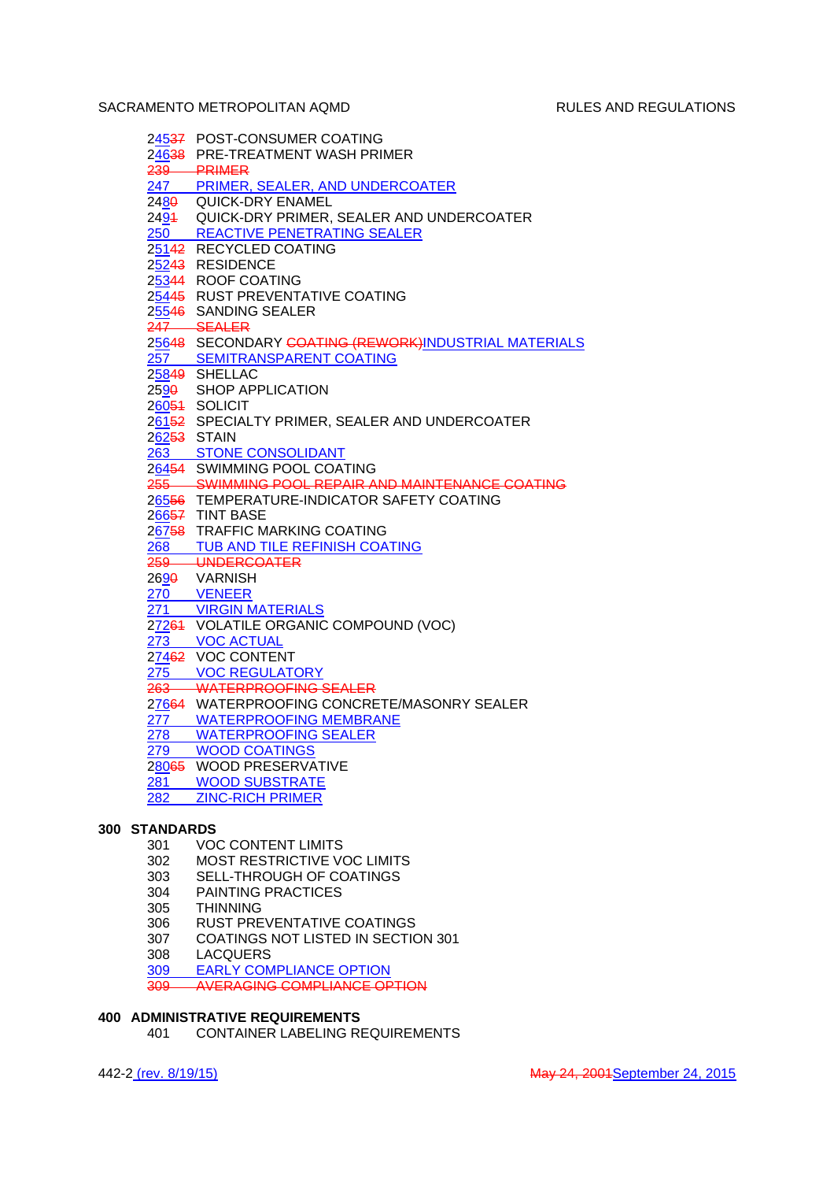|     | 24537 POST-CONSUMER COATING                           |
|-----|-------------------------------------------------------|
|     | 24638 PRE-TREATMENT WASH PRIMER                       |
|     |                                                       |
|     | 239 PRIMER<br>247 PRIMER, SEALER, AND UNDERCOATER     |
|     | 2480 QUICK-DRY ENAMEL                                 |
|     | 2494 QUICK-DRY PRIMER, SEALER AND UNDERCOATER         |
|     | 250 REACTIVE PENETRATING SEALER                       |
|     | 25142 RECYCLED COATING                                |
|     | 25243 RESIDENCE                                       |
|     | 25344 ROOF COATING                                    |
|     | 25445 RUST PREVENTATIVE COATING                       |
|     | 25546 SANDING SEALER                                  |
|     | 247 SEALER                                            |
|     | 25648 SECONDARY COATING (REWORK) INDUSTRIAL MATERIALS |
|     | 257 SEMITRANSPARENT COATING                           |
|     | 25849 SHELLAC                                         |
|     | 2590 SHOP APPLICATION                                 |
|     | 26054 SOLICIT                                         |
|     | 26152 SPECIALTY PRIMER, SEALER AND UNDERCOATER        |
|     | 26253 STAIN                                           |
|     | 263 STONE CONSOLIDANT                                 |
|     | 26454 SWIMMING POOL COATING                           |
|     | 255 SWIMMING POOL REPAIR AND MAINTENANCE COATING      |
|     | 26556 TEMPERATURE-INDICATOR SAFETY COATING            |
|     | $26657$ TINT BASE                                     |
|     | 26758 TRAFFIC MARKING COATING                         |
| 268 | TUB AND TILE REFINISH COATING                         |
|     | 259 UNDERCOATER                                       |
|     | 2690 VARNISH                                          |
|     | 270 VENEER                                            |
| 271 | <b>VIRGIN MATERIALS</b>                               |
|     | 27264 VOLATILE ORGANIC COMPOUND (VOC)                 |
| 273 | <b>VOC ACTUAL</b>                                     |
|     | 27462 VOC CONTENT                                     |
|     | 275 VOC REGULATORY                                    |
|     | 263 WATERPROOFING SEALER                              |
|     | 27664 WATERPROOFING CONCRETE/MASONRY SEALER           |
|     | 277 WATERPROOFING MEMBRANE                            |
| 278 | <b>WATERPROOFING SEALER</b>                           |
| 279 | <b>WOOD COATINGS</b>                                  |
|     | 28065 WOOD PRESERVATIVE                               |
| 281 | <b>WOOD SUBSTRATE</b>                                 |
| 282 | <b>ZINC-RICH PRIMER</b>                               |
|     |                                                       |

# **300 STANDARDS**

- 301 VOC CONTENT LIMITS
- 302 MOST RESTRICTIVE VOC LIMITS
- 303 SELL-THROUGH OF COATINGS
- 304 PAINTING PRACTICES
- 305 THINNING<br>306 RUST PRE
- 
- 306 RUST PREVENTATIVE COATINGS<br>307 COATINGS NOT LISTED IN SECTIO COATINGS NOT LISTED IN SECTION 301
- 
- 308 LACQUERS<br>309 EARLY COM 309 EARLY COMPLIANCE OPTION
- 309 AVERAGING COMPLIANCE OPTION

# **400 ADMINISTRATIVE REQUIREMENTS**

401 CONTAINER LABELING REQUIREMENTS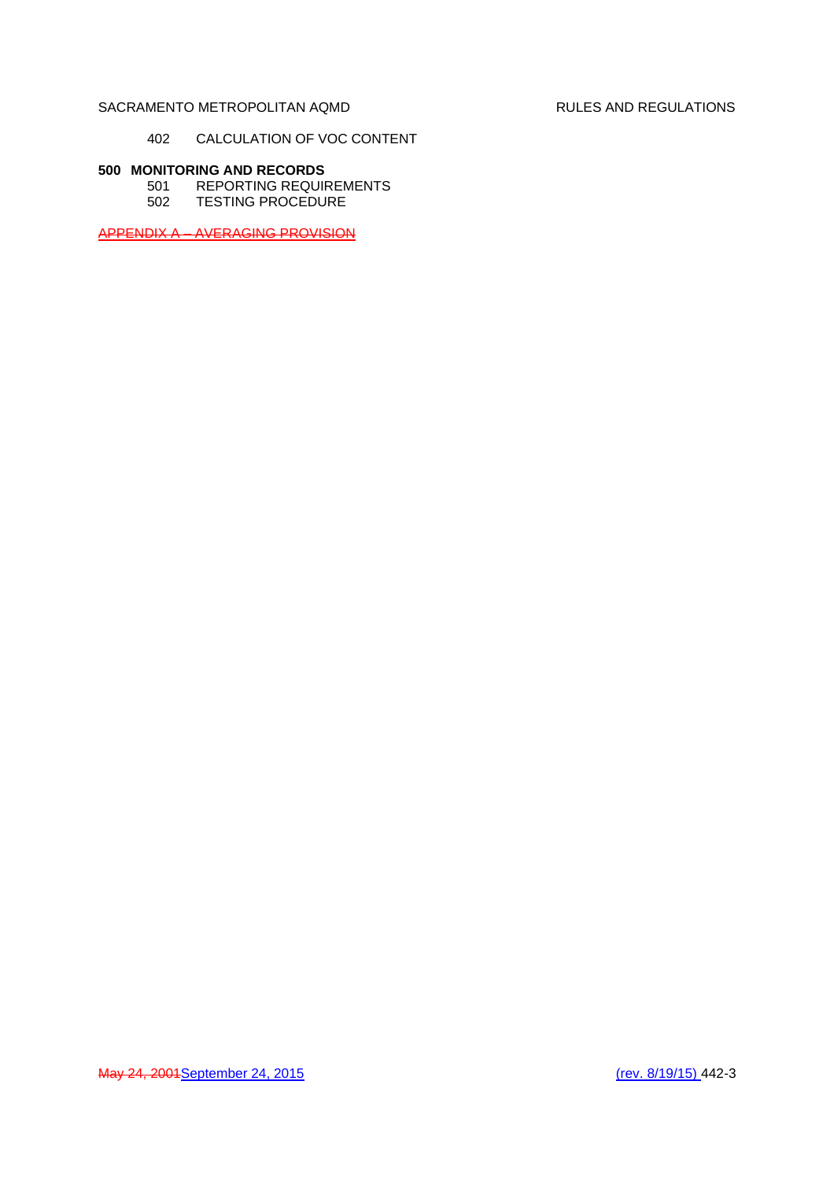## 402 CALCULATION OF VOC CONTENT

# **500 MONITORING AND RECORDS**

501 REPORTING REQUIREMENTS 502 TESTING PROCEDURE

APPENDIX A – AVERAGING PROVISION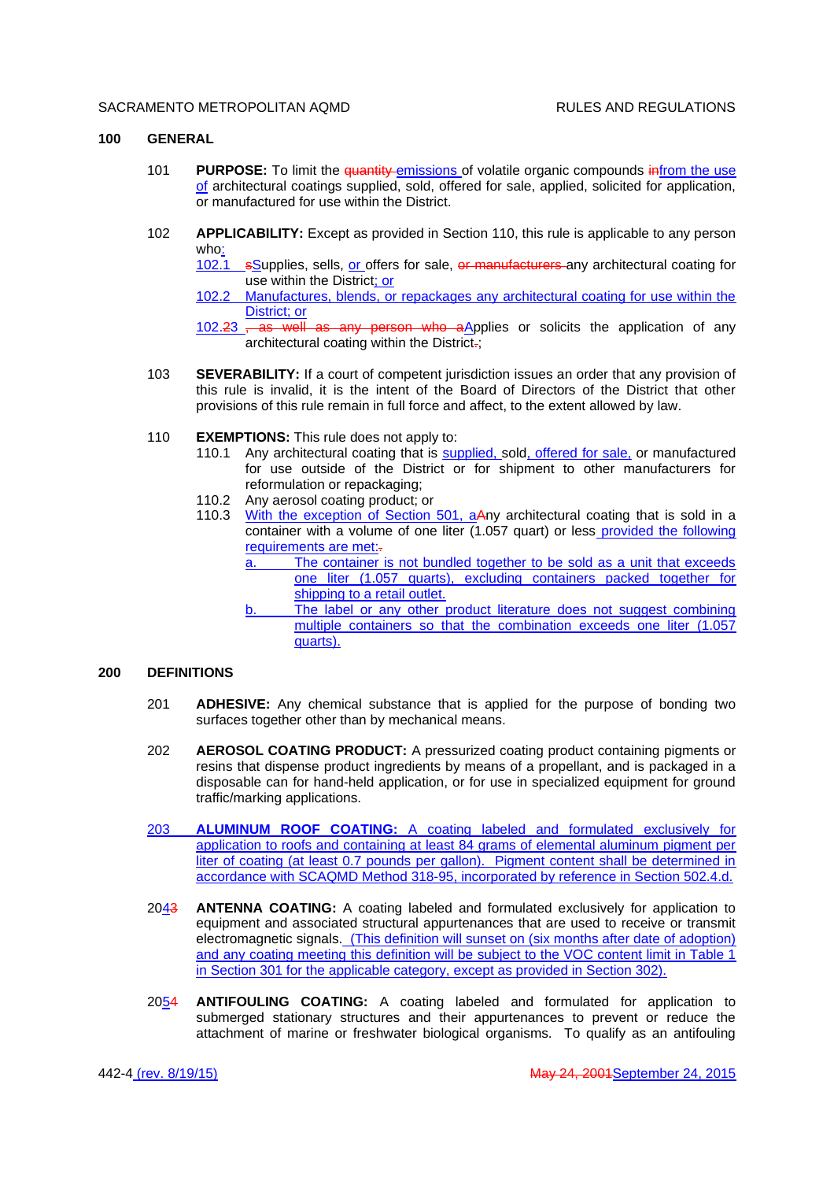#### **100 GENERAL**

- 101 **PURPOSE:** To limit the quantity emissions of volatile organic compounds infrom the use of architectural coatings supplied, sold, offered for sale, applied, solicited for application, or manufactured for use within the District.
- 102 **APPLICABILITY:** Except as provided in Section 110, this rule is applicable to any person who:

102.1 sSupplies, sells, or offers for sale, or manufacturers any architectural coating for use within the District; or

102.2 Manufactures, blends, or repackages any architectural coating for use within the District; or

102.23 , as well as any person who aApplies or solicits the application of any architectural coating within the District.;

- 103 **SEVERABILITY:** If a court of competent jurisdiction issues an order that any provision of this rule is invalid, it is the intent of the Board of Directors of the District that other provisions of this rule remain in full force and affect, to the extent allowed by law.
- 110 **EXEMPTIONS:** This rule does not apply to:
	- 110.1 Any architectural coating that is supplied, sold, offered for sale, or manufactured for use outside of the District or for shipment to other manufacturers for reformulation or repackaging;
	- 110.2 Any aerosol coating product; or
	- 110.3 With the exception of Section 501, aAny architectural coating that is sold in a container with a volume of one liter (1.057 quart) or less provided the following requirements are met:
		- a. The container is not bundled together to be sold as a unit that exceeds one liter (1.057 quarts), excluding containers packed together for shipping to a retail outlet.
		- b. The label or any other product literature does not suggest combining multiple containers so that the combination exceeds one liter (1.057 quarts).

## **200 DEFINITIONS**

- 201 **ADHESIVE:** Any chemical substance that is applied for the purpose of bonding two surfaces together other than by mechanical means.
- 202 **AEROSOL COATING PRODUCT:** A pressurized coating product containing pigments or resins that dispense product ingredients by means of a propellant, and is packaged in a disposable can for hand-held application, or for use in specialized equipment for ground traffic/marking applications.
- 203 **ALUMINUM ROOF COATING:** A coating labeled and formulated exclusively for application to roofs and containing at least 84 grams of elemental aluminum pigment per liter of coating (at least 0.7 pounds per gallon). Pigment content shall be determined in accordance with SCAQMD Method 318-95, incorporated by reference in Section 502.4.d.
- 2043 **ANTENNA COATING:** A coating labeled and formulated exclusively for application to equipment and associated structural appurtenances that are used to receive or transmit electromagnetic signals. (This definition will sunset on (six months after date of adoption) and any coating meeting this definition will be subject to the VOC content limit in Table 1 in Section 301 for the applicable category, except as provided in Section 302).
- 2054 **ANTIFOULING COATING:** A coating labeled and formulated for application to submerged stationary structures and their appurtenances to prevent or reduce the attachment of marine or freshwater biological organisms. To qualify as an antifouling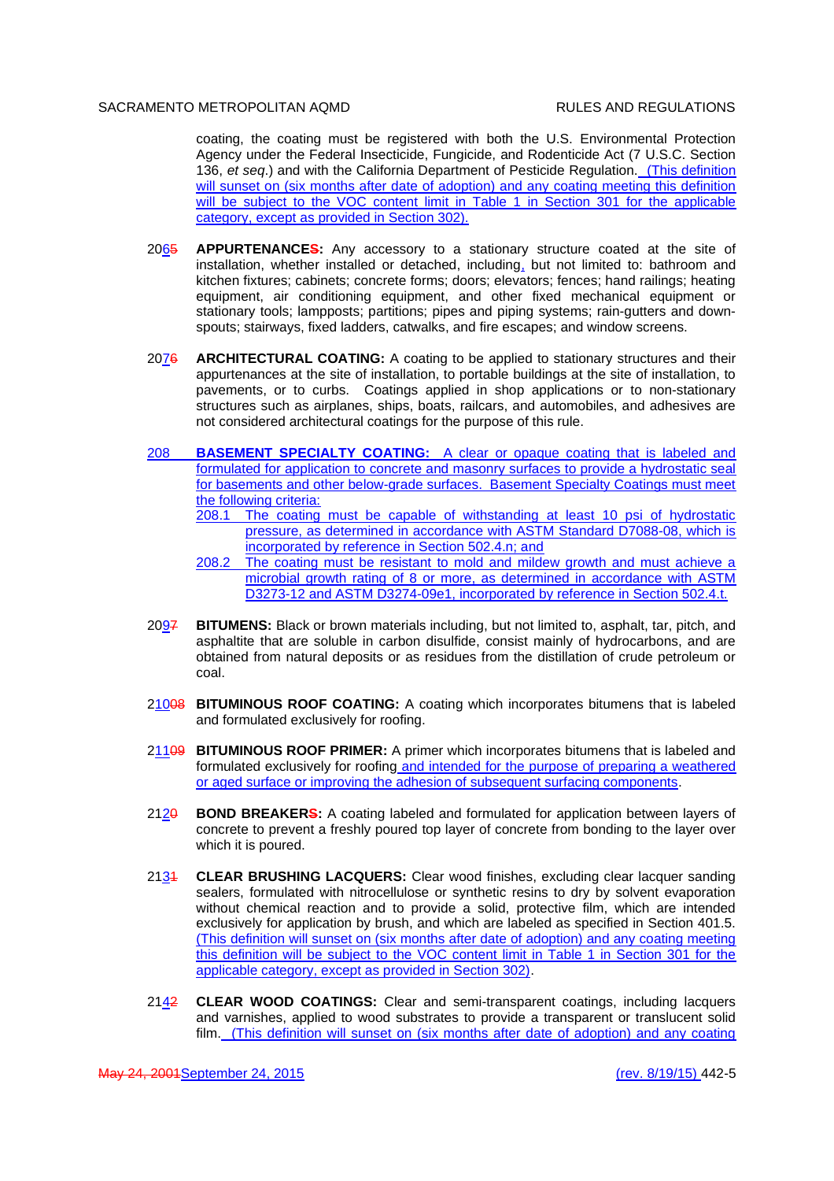coating, the coating must be registered with both the U.S. Environmental Protection Agency under the Federal Insecticide, Fungicide, and Rodenticide Act (7 U.S.C. Section 136, *et seq*.) and with the California Department of Pesticide Regulation. (This definition will sunset on (six months after date of adoption) and any coating meeting this definition will be subject to the VOC content limit in Table 1 in Section 301 for the applicable category, except as provided in Section 302).

- 2065 **APPURTENANCES:** Any accessory to a stationary structure coated at the site of installation, whether installed or detached, including, but not limited to: bathroom and kitchen fixtures; cabinets; concrete forms; doors; elevators; fences; hand railings; heating equipment, air conditioning equipment, and other fixed mechanical equipment or stationary tools; lampposts; partitions; pipes and piping systems; rain-gutters and downspouts; stairways, fixed ladders, catwalks, and fire escapes; and window screens.
- 2076 **ARCHITECTURAL COATING:** A coating to be applied to stationary structures and their appurtenances at the site of installation, to portable buildings at the site of installation, to pavements, or to curbs. Coatings applied in shop applications or to non-stationary structures such as airplanes, ships, boats, railcars, and automobiles, and adhesives are not considered architectural coatings for the purpose of this rule.
- 208 **BASEMENT SPECIALTY COATING:** A clear or opaque coating that is labeled and formulated for application to concrete and masonry surfaces to provide a hydrostatic seal for basements and other below-grade surfaces. Basement Specialty Coatings must meet the following criteria:
	- 208.1 The coating must be capable of withstanding at least 10 psi of hydrostatic pressure, as determined in accordance with ASTM Standard D7088-08, which is incorporated by reference in Section 502.4.n; and
	- 208.2 The coating must be resistant to mold and mildew growth and must achieve a microbial growth rating of 8 or more, as determined in accordance with ASTM D3273-12 and ASTM D3274-09e1, incorporated by reference in Section 502.4.t.
- 2097 **BITUMENS:** Black or brown materials including, but not limited to, asphalt, tar, pitch, and asphaltite that are soluble in carbon disulfide, consist mainly of hydrocarbons, and are obtained from natural deposits or as residues from the distillation of crude petroleum or coal.
- 21008 **BITUMINOUS ROOF COATING:** A coating which incorporates bitumens that is labeled and formulated exclusively for roofing.
- 21109 **BITUMINOUS ROOF PRIMER:** A primer which incorporates bitumens that is labeled and formulated exclusively for roofing and intended for the purpose of preparing a weathered or aged surface or improving the adhesion of subsequent surfacing components.
- 2120 **BOND BREAKERS:** A coating labeled and formulated for application between layers of concrete to prevent a freshly poured top layer of concrete from bonding to the layer over which it is poured.
- 2131 **CLEAR BRUSHING LACQUERS:** Clear wood finishes, excluding clear lacquer sanding sealers, formulated with nitrocellulose or synthetic resins to dry by solvent evaporation without chemical reaction and to provide a solid, protective film, which are intended exclusively for application by brush, and which are labeled as specified in Section 401.5. (This definition will sunset on (six months after date of adoption) and any coating meeting this definition will be subject to the VOC content limit in Table 1 in Section 301 for the applicable category, except as provided in Section 302).
- 2142 **CLEAR WOOD COATINGS:** Clear and semi-transparent coatings, including lacquers and varnishes, applied to wood substrates to provide a transparent or translucent solid film. (This definition will sunset on (six months after date of adoption) and any coating

May 24, 2001September 24, 2015 (rev. 8/19/15) 442-5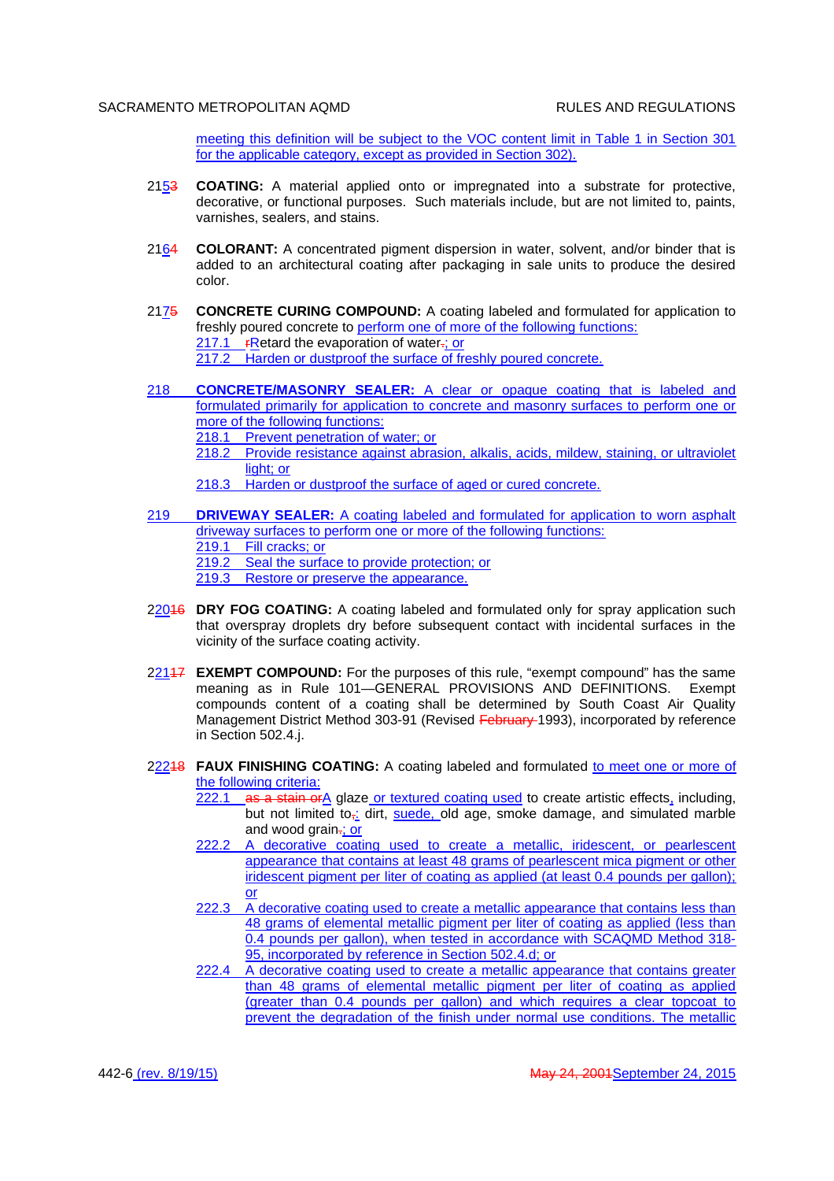meeting this definition will be subject to the VOC content limit in Table 1 in Section 301 for the applicable category, except as provided in Section 302).

- 2153 **COATING:** A material applied onto or impregnated into a substrate for protective, decorative, or functional purposes. Such materials include, but are not limited to, paints, varnishes, sealers, and stains.
- 2164 **COLORANT:** A concentrated pigment dispersion in water, solvent, and/or binder that is added to an architectural coating after packaging in sale units to produce the desired color.
- 2175 **CONCRETE CURING COMPOUND:** A coating labeled and formulated for application to freshly poured concrete to perform one of more of the following functions: 217.1  $r$ Retard the evaporation of water $\div$ ; or 217.2 Harden or dustproof the surface of freshly poured concrete.
- 218 **CONCRETE/MASONRY SEALER:** A clear or opaque coating that is labeled and formulated primarily for application to concrete and masonry surfaces to perform one or more of the following functions:
	- 218.1 Prevent penetration of water: or
	- 218.2 Provide resistance against abrasion, alkalis, acids, mildew, staining, or ultraviolet light; or
	- 218.3 Harden or dustproof the surface of aged or cured concrete.
- 219 **DRIVEWAY SEALER:** A coating labeled and formulated for application to worn asphalt driveway surfaces to perform one or more of the following functions:
	- 219.1 Fill cracks; or

219.2 Seal the surface to provide protection; or

- 219.3 Restore or preserve the appearance.
- 22016 **DRY FOG COATING:** A coating labeled and formulated only for spray application such that overspray droplets dry before subsequent contact with incidental surfaces in the vicinity of the surface coating activity.
- 22117 **EXEMPT COMPOUND:** For the purposes of this rule, "exempt compound" has the same meaning as in Rule 101—GENERAL PROVISIONS AND DEFINITIONS. Exempt compounds content of a coating shall be determined by South Coast Air Quality Management District Method 303-91 (Revised February 1993), incorporated by reference in Section 502.4.j.
- 22248 **FAUX FINISHING COATING:** A coating labeled and formulated to meet one or more of the following criteria:
	- 222.1 as a stain or A glaze or textured coating used to create artistic effects, including, but not limited to<sub> $\frac{1}{2}$ </sub> dirt, suede, old age, smoke damage, and simulated marble and wood grain-; or
	- 222.2 A decorative coating used to create a metallic, iridescent, or pearlescent appearance that contains at least 48 grams of pearlescent mica pigment or other iridescent pigment per liter of coating as applied (at least 0.4 pounds per gallon); or
	- 222.3 A decorative coating used to create a metallic appearance that contains less than 48 grams of elemental metallic pigment per liter of coating as applied (less than 0.4 pounds per gallon), when tested in accordance with SCAQMD Method 318-95, incorporated by reference in Section 502.4.d; or
	- 222.4 A decorative coating used to create a metallic appearance that contains greater than 48 grams of elemental metallic pigment per liter of coating as applied (greater than 0.4 pounds per gallon) and which requires a clear topcoat to prevent the degradation of the finish under normal use conditions. The metallic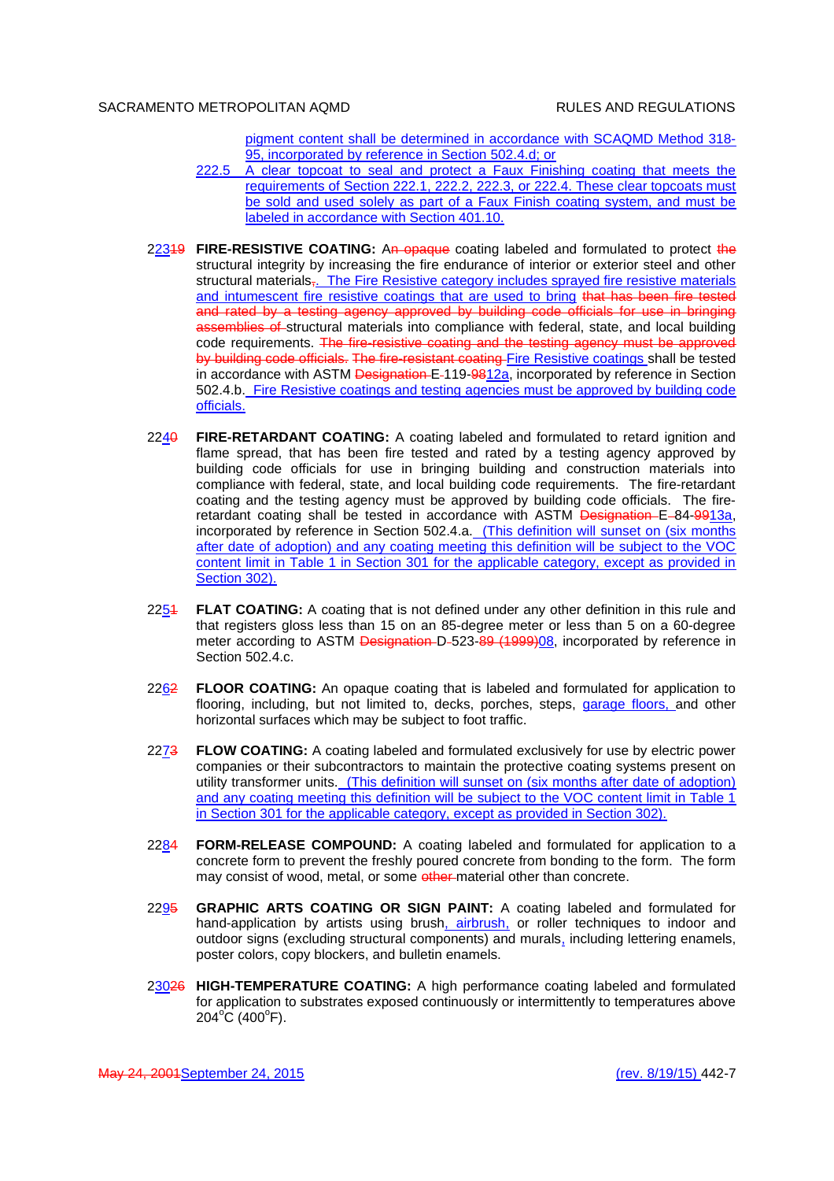pigment content shall be determined in accordance with SCAQMD Method 318- 95, incorporated by reference in Section 502.4.d; or

- 222.5 A clear topcoat to seal and protect a Faux Finishing coating that meets the requirements of Section 222.1, 222.2, 222.3, or 222.4. These clear topcoats must be sold and used solely as part of a Faux Finish coating system, and must be labeled in accordance with Section 401.10.
- 22319 **FIRE-RESISTIVE COATING:** An opaque coating labeled and formulated to protect the structural integrity by increasing the fire endurance of interior or exterior steel and other structural materials,. The Fire Resistive category includes sprayed fire resistive materials and intumescent fire resistive coatings that are used to bring that has been fire tested and rated by a testing agency approved by building code officials for use in bringing assemblies of structural materials into compliance with federal, state, and local building code requirements. The fire-resistive coating and the testing agency must be approved by building code officials. The fire-resistant coating Fire Resistive coatings shall be tested in accordance with ASTM Designation E-119-9812 $a$ , incorporated by reference in Section 502.4.b. Fire Resistive coatings and testing agencies must be approved by building code officials.
- 2240 **FIRE-RETARDANT COATING:** A coating labeled and formulated to retard ignition and flame spread, that has been fire tested and rated by a testing agency approved by building code officials for use in bringing building and construction materials into compliance with federal, state, and local building code requirements. The fire-retardant coating and the testing agency must be approved by building code officials. The fireretardant coating shall be tested in accordance with ASTM Designation E-84-9913a, incorporated by reference in Section 502.4.a. (This definition will sunset on (six months after date of adoption) and any coating meeting this definition will be subject to the VOC content limit in Table 1 in Section 301 for the applicable category, except as provided in Section 302).
- 2251 **FLAT COATING:** A coating that is not defined under any other definition in this rule and that registers gloss less than 15 on an 85-degree meter or less than 5 on a 60-degree meter according to ASTM Designation D-523-89 (1999)08, incorporated by reference in Section 502.4.c.
- 2262 **FLOOR COATING:** An opaque coating that is labeled and formulated for application to flooring, including, but not limited to, decks, porches, steps, garage floors, and other horizontal surfaces which may be subject to foot traffic.
- 2273 **FLOW COATING:** A coating labeled and formulated exclusively for use by electric power companies or their subcontractors to maintain the protective coating systems present on utility transformer units. (This definition will sunset on (six months after date of adoption) and any coating meeting this definition will be subject to the VOC content limit in Table 1 in Section 301 for the applicable category, except as provided in Section 302).
- 2284 **FORM-RELEASE COMPOUND:** A coating labeled and formulated for application to a concrete form to prevent the freshly poured concrete from bonding to the form. The form may consist of wood, metal, or some other-material other than concrete.
- 2295 **GRAPHIC ARTS COATING OR SIGN PAINT:** A coating labeled and formulated for hand-application by artists using brush, airbrush, or roller techniques to indoor and outdoor signs (excluding structural components) and murals, including lettering enamels, poster colors, copy blockers, and bulletin enamels.
- 23026 **HIGH-TEMPERATURE COATING:** A high performance coating labeled and formulated for application to substrates exposed continuously or intermittently to temperatures above  $204^{\circ}$ C (400 $^{\circ}$ F).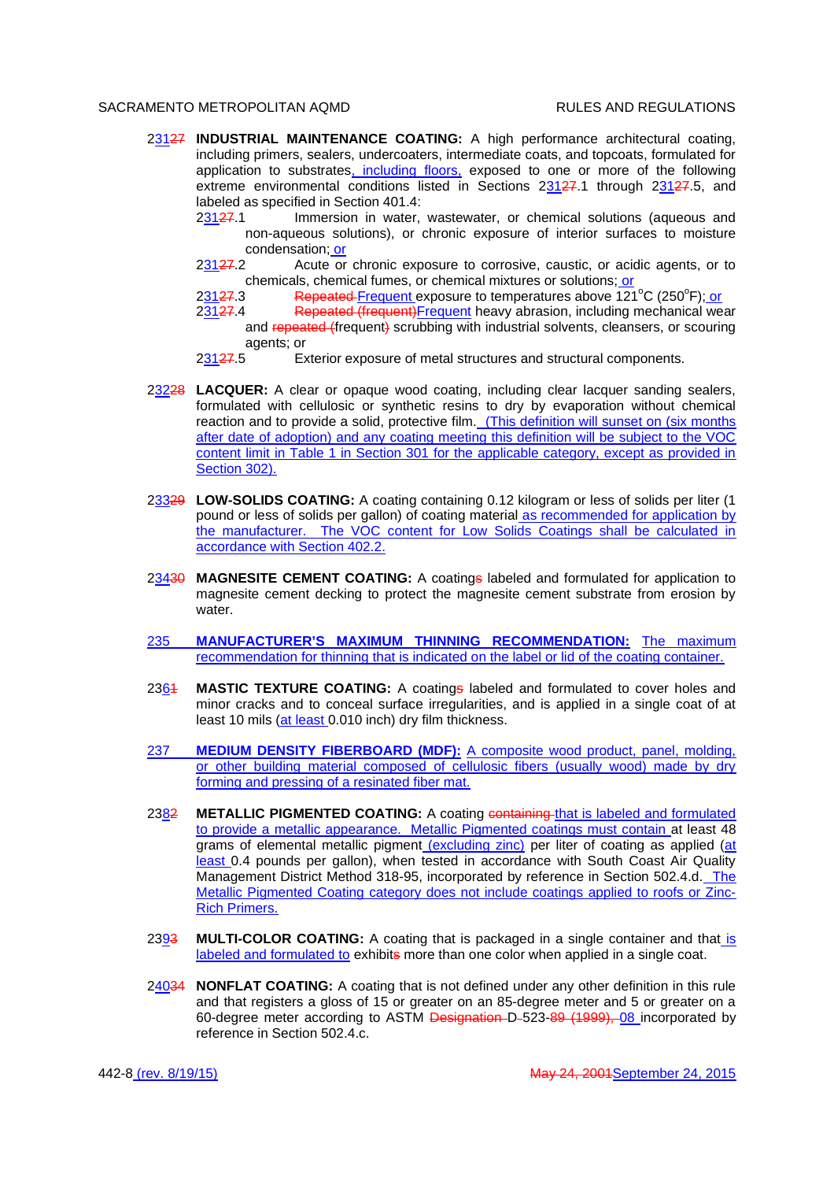- 23127 **INDUSTRIAL MAINTENANCE COATING:** A high performance architectural coating, including primers, sealers, undercoaters, intermediate coats, and topcoats, formulated for application to substrates, including floors, exposed to one or more of the following extreme environmental conditions listed in Sections 23127.1 through 23127.5, and labeled as specified in Section 401.4:
	- 23127.1 Immersion in water, wastewater, or chemical solutions (aqueous and non-aqueous solutions), or chronic exposure of interior surfaces to moisture condensation; or
	- 23127.2 Acute or chronic exposure to corrosive, caustic, or acidic agents, or to chemicals, chemical fumes, or chemical mixtures or solutions; or
	- 23127.3 Repeated Frequent exposure to temperatures above 121<sup>°</sup>C (250<sup>°</sup>F); or
	- 23127.4 Repeated (frequent)Frequent heavy abrasion, including mechanical wear and repeated (frequent) scrubbing with industrial solvents, cleansers, or scouring agents; or
	- 23127.5 Exterior exposure of metal structures and structural components.
- 23228 **LACQUER:** A clear or opaque wood coating, including clear lacquer sanding sealers, formulated with cellulosic or synthetic resins to dry by evaporation without chemical reaction and to provide a solid, protective film. (This definition will sunset on (six months after date of adoption) and any coating meeting this definition will be subject to the VOC content limit in Table 1 in Section 301 for the applicable category, except as provided in Section 302).
- 23329 **LOW-SOLIDS COATING:** A coating containing 0.12 kilogram or less of solids per liter (1 pound or less of solids per gallon) of coating material as recommended for application by the manufacturer. The VOC content for Low Solids Coatings shall be calculated in accordance with Section 402.2.
- 23430 **MAGNESITE CEMENT COATING:** A coatings labeled and formulated for application to magnesite cement decking to protect the magnesite cement substrate from erosion by water.
- 235 **MANUFACTURER'S MAXIMUM THINNING RECOMMENDATION:** The maximum recommendation for thinning that is indicated on the label or lid of the coating container.
- 2361 **MASTIC TEXTURE COATING:** A coatings labeled and formulated to cover holes and minor cracks and to conceal surface irregularities, and is applied in a single coat of at least 10 mils (at least 0.010 inch) dry film thickness.
- 237 **MEDIUM DENSITY FIBERBOARD (MDF):** A composite wood product, panel, molding, or other building material composed of cellulosic fibers (usually wood) made by dry forming and pressing of a resinated fiber mat.
- 2382 **METALLIC PIGMENTED COATING:** A coating containing that is labeled and formulated to provide a metallic appearance. Metallic Pigmented coatings must contain at least 48 grams of elemental metallic pigment (excluding zinc) per liter of coating as applied (at least 0.4 pounds per gallon), when tested in accordance with South Coast Air Quality Management District Method 318-95, incorporated by reference in Section 502.4.d. The Metallic Pigmented Coating category does not include coatings applied to roofs or Zinc-Rich Primers.
- 2393 **MULTI-COLOR COATING:** A coating that is packaged in a single container and that is labeled and formulated to exhibits more than one color when applied in a single coat.
- 24034 **NONFLAT COATING:** A coating that is not defined under any other definition in this rule and that registers a gloss of 15 or greater on an 85-degree meter and 5 or greater on a 60-degree meter according to ASTM Designation D-523-89 (1999), 08 incorporated by reference in Section 502.4.c.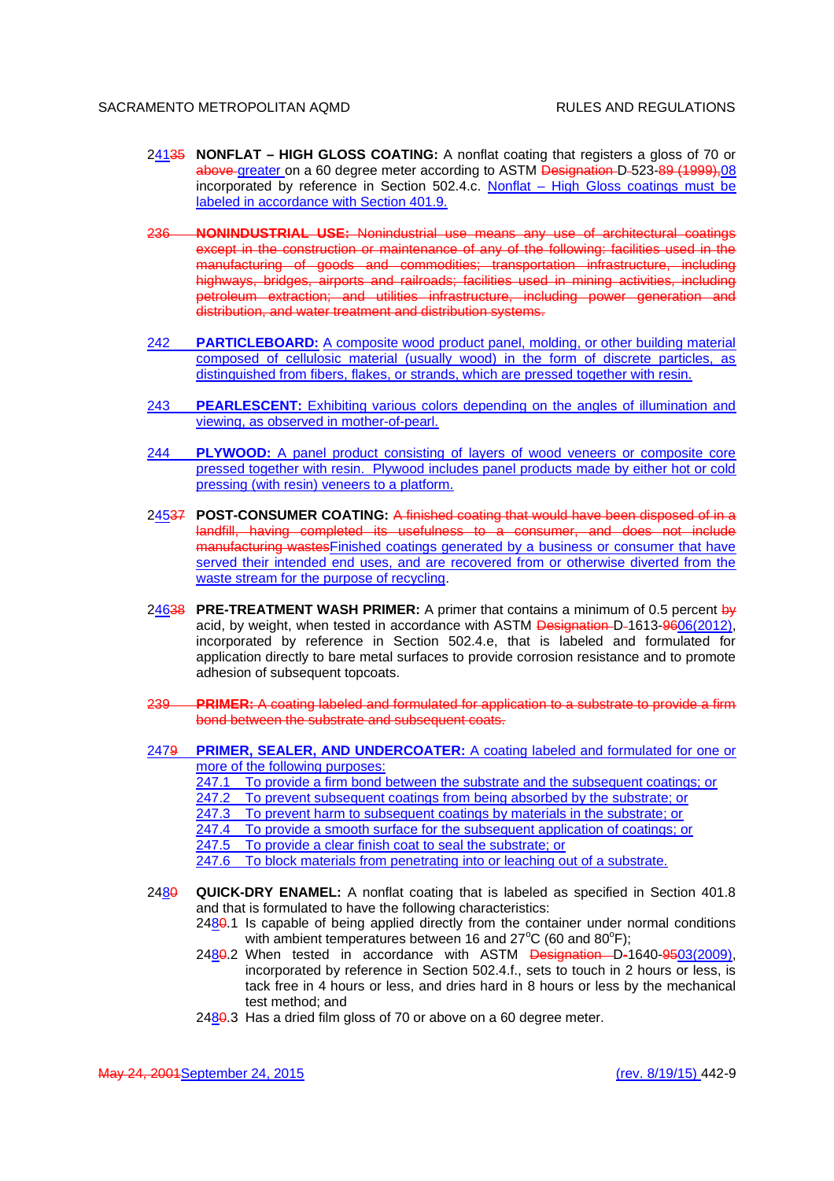- 24135 **NONFLAT HIGH GLOSS COATING:** A nonflat coating that registers a gloss of 70 or above greater on a 60 degree meter according to ASTM Designation D-523-89 (1999), 08 incorporated by reference in Section 502.4.c. Nonflat – High Gloss coatings must be labeled in accordance with Section 401.9.
- 236 **NONINDUSTRIAL USE:** Nonindustrial use means any use of architectural coatings except in the construction or maintenance of any of the following: facilities used in the manufacturing of goods and commodities; transportation infrastructure, including highways, bridges, airports and railroads; facilities used in mining activities, including petroleum extraction; and utilities infrastructure, including power generation and distribution, and water treatment and distribution systems.
- 242 **PARTICLEBOARD:** A composite wood product panel, molding, or other building material composed of cellulosic material (usually wood) in the form of discrete particles, as distinguished from fibers, flakes, or strands, which are pressed together with resin.
- 243 **PEARLESCENT:** Exhibiting various colors depending on the angles of illumination and viewing, as observed in mother-of-pearl.
- 244 **PLYWOOD:** A panel product consisting of layers of wood veneers or composite core pressed together with resin. Plywood includes panel products made by either hot or cold pressing (with resin) veneers to a platform.
- 24537 **POST-CONSUMER COATING:** A finished coating that would have been disposed of in a landfill, having completed its usefulness to a consumer, and does not include manufacturing wastesFinished coatings generated by a business or consumer that have served their intended end uses, and are recovered from or otherwise diverted from the waste stream for the purpose of recycling.
- 24638 **PRE-TREATMENT WASH PRIMER:** A primer that contains a minimum of 0.5 percent by acid, by weight, when tested in accordance with ASTM Designation D-1613-9606(2012), incorporated by reference in Section 502.4.e, that is labeled and formulated for application directly to bare metal surfaces to provide corrosion resistance and to promote adhesion of subsequent topcoats.
- 239 **PRIMER:** A coating labeled and formulated for application to a substrate to provide a firm bond between the substrate and subsequent coats.
- 2479 **PRIMER, SEALER, AND UNDERCOATER:** A coating labeled and formulated for one or more of the following purposes:
	- 247.1 To provide a firm bond between the substrate and the subsequent coatings; or 247.2 To prevent subsequent coatings from being absorbed by the substrate; or
		- To prevent subsequent coatings from being absorbed by the substrate; or
	- 247.3 To prevent harm to subsequent coatings by materials in the substrate; or
	- 247.4 To provide a smooth surface for the subsequent application of coatings; or
	- 247.5 To provide a clear finish coat to seal the substrate; or
	- 247.6 To block materials from penetrating into or leaching out of a substrate.
- 2480 **QUICK-DRY ENAMEL:** A nonflat coating that is labeled as specified in Section 401.8 and that is formulated to have the following characteristics:
	- 2480.1 Is capable of being applied directly from the container under normal conditions with ambient temperatures between 16 and  $27^{\circ}$ C (60 and 80 $^{\circ}$ F);
	- 2480.2 When tested in accordance with ASTM Designation D-1640-9503(2009), incorporated by reference in Section 502.4.f., sets to touch in 2 hours or less, is tack free in 4 hours or less, and dries hard in 8 hours or less by the mechanical test method; and
	- $2480.3$  Has a dried film gloss of 70 or above on a 60 degree meter.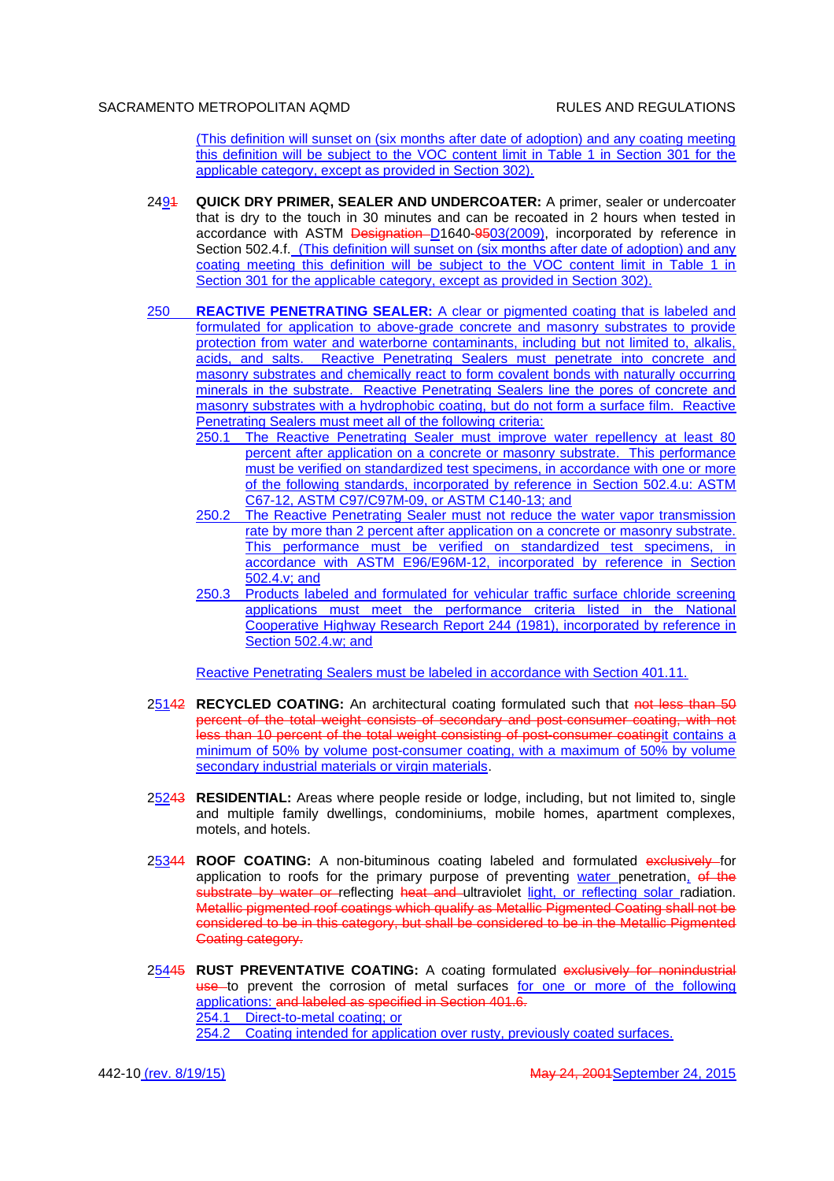(This definition will sunset on (six months after date of adoption) and any coating meeting this definition will be subject to the VOC content limit in Table 1 in Section 301 for the applicable category, except as provided in Section 302).

- 2494 **QUICK DRY PRIMER, SEALER AND UNDERCOATER:** A primer, sealer or undercoater that is dry to the touch in 30 minutes and can be recoated in 2 hours when tested in accordance with ASTM Designation D1640-9503(2009), incorporated by reference in Section 502.4.f. (This definition will sunset on (six months after date of adoption) and any coating meeting this definition will be subject to the VOC content limit in Table 1 in Section 301 for the applicable category, except as provided in Section 302).
- 250 **REACTIVE PENETRATING SEALER:** A clear or pigmented coating that is labeled and formulated for application to above-grade concrete and masonry substrates to provide protection from water and waterborne contaminants, including but not limited to, alkalis, acids, and salts. Reactive Penetrating Sealers must penetrate into concrete and masonry substrates and chemically react to form covalent bonds with naturally occurring minerals in the substrate. Reactive Penetrating Sealers line the pores of concrete and masonry substrates with a hydrophobic coating, but do not form a surface film. Reactive Penetrating Sealers must meet all of the following criteria:
	- 250.1 The Reactive Penetrating Sealer must improve water repellency at least 80 percent after application on a concrete or masonry substrate. This performance must be verified on standardized test specimens, in accordance with one or more of the following standards, incorporated by reference in Section 502.4.u: ASTM C67-12, ASTM C97/C97M-09, or ASTM C140-13; and
	- 250.2 The Reactive Penetrating Sealer must not reduce the water vapor transmission rate by more than 2 percent after application on a concrete or masonry substrate. This performance must be verified on standardized test specimens, in accordance with ASTM E96/E96M-12, incorporated by reference in Section 502.4.v; and
	- 250.3 Products labeled and formulated for vehicular traffic surface chloride screening applications must meet the performance criteria listed in the National Cooperative Highway Research Report 244 (1981), incorporated by reference in Section 502.4.w; and

Reactive Penetrating Sealers must be labeled in accordance with Section 401.11.

- 25142 **RECYCLED COATING:** An architectural coating formulated such that not less than 50 percent of the total weight consists of secondary and post-consumer coating, with not less than 10 percent of the total weight consisting of post-consumer coatingit contains a minimum of 50% by volume post-consumer coating, with a maximum of 50% by volume secondary industrial materials or virgin materials.
- 25243 **RESIDENTIAL:** Areas where people reside or lodge, including, but not limited to, single and multiple family dwellings, condominiums, mobile homes, apartment complexes, motels, and hotels.
- 25344 **ROOF COATING:** A non-bituminous coating labeled and formulated exclusively for application to roofs for the primary purpose of preventing  $\frac{W}{\sqrt{GM}}$  penetration, of the substrate by water or reflecting heat and ultraviolet light, or reflecting solar radiation. Metallic pigmented roof coatings which qualify as Metallic Pigmented Coating shall not be considered to be in this category, but shall be considered to be in the Metallic Pigmented Coating category.
- 25445 **RUST PREVENTATIVE COATING:** A coating formulated exclusively for nonindustrial use to prevent the corrosion of metal surfaces for one or more of the following applications: and labeled as specified in Section 401.6. 254.1 Direct-to-metal coating; or 254.2 Coating intended for application over rusty, previously coated surfaces.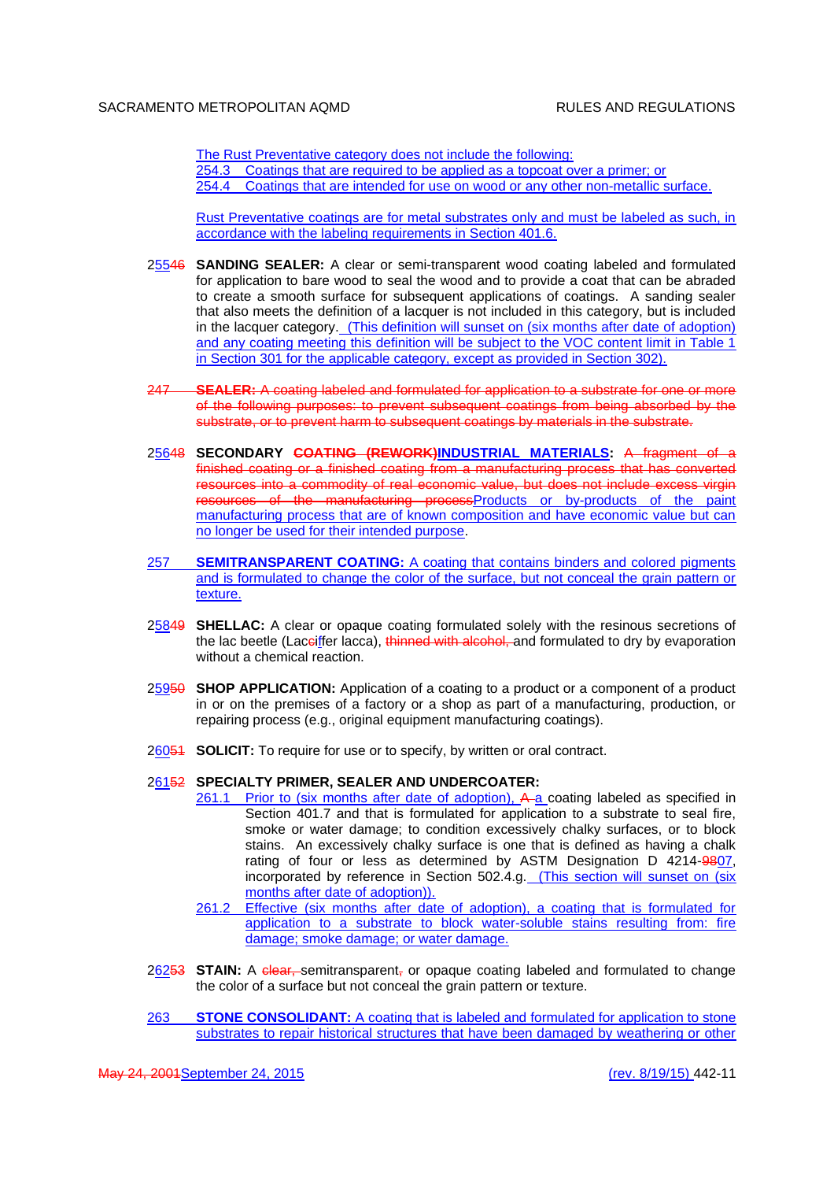The Rust Preventative category does not include the following: 254.3 Coatings that are required to be applied as a topcoat over a primer; or 254.4 Coatings that are intended for use on wood or any other non-metallic surface.

Rust Preventative coatings are for metal substrates only and must be labeled as such, in accordance with the labeling requirements in Section 401.6.

- 25546 **SANDING SEALER:** A clear or semi-transparent wood coating labeled and formulated for application to bare wood to seal the wood and to provide a coat that can be abraded to create a smooth surface for subsequent applications of coatings. A sanding sealer that also meets the definition of a lacquer is not included in this category, but is included in the lacquer category. (This definition will sunset on (six months after date of adoption) and any coating meeting this definition will be subject to the VOC content limit in Table 1 in Section 301 for the applicable category, except as provided in Section 302).
- 247 **SEALER:** A coating labeled and formulated for application to a substrate for one or more of the following purposes: to prevent subsequent coatings from being absorbed by the substrate, or to prevent harm to subsequent coatings by materials in the substrate.
- 25648 **SECONDARY COATING (REWORK)INDUSTRIAL MATERIALS:** A fragment of a finished coating or a finished coating from a manufacturing process that has converted resources into a commodity of real economic value, but does not include excess virgin resources of the manufacturing processProducts or by-products of the paint manufacturing process that are of known composition and have economic value but can no longer be used for their intended purpose.
- 257 **SEMITRANSPARENT COATING:** A coating that contains binders and colored pigments and is formulated to change the color of the surface, but not conceal the grain pattern or texture.
- 25849 **SHELLAC:** A clear or opaque coating formulated solely with the resinous secretions of the lac beetle (Laceiffer lacca), thinned with alcohol, and formulated to dry by evaporation without a chemical reaction.
- 25950 **SHOP APPLICATION:** Application of a coating to a product or a component of a product in or on the premises of a factory or a shop as part of a manufacturing, production, or repairing process (e.g., original equipment manufacturing coatings).
- 26051 **SOLICIT:** To require for use or to specify, by written or oral contract.

### 26152 **SPECIALTY PRIMER, SEALER AND UNDERCOATER:**

- 261.1 Prior to (six months after date of adoption), A-a coating labeled as specified in Section 401.7 and that is formulated for application to a substrate to seal fire, smoke or water damage; to condition excessively chalky surfaces, or to block stains. An excessively chalky surface is one that is defined as having a chalk rating of four or less as determined by ASTM Designation D 4214-9807, incorporated by reference in Section 502.4.g. (This section will sunset on (six months after date of adoption)).
- 261.2 Effective (six months after date of adoption), a coating that is formulated for application to a substrate to block water-soluble stains resulting from: fire damage; smoke damage; or water damage.
- 26253 **STAIN:** A clear, semitransparent, or opaque coating labeled and formulated to change the color of a surface but not conceal the grain pattern or texture.
- 263 **STONE CONSOLIDANT:** A coating that is labeled and formulated for application to stone substrates to repair historical structures that have been damaged by weathering or other

May 24, 2001September 24, 2015 (rev. 8/19/15) 442-11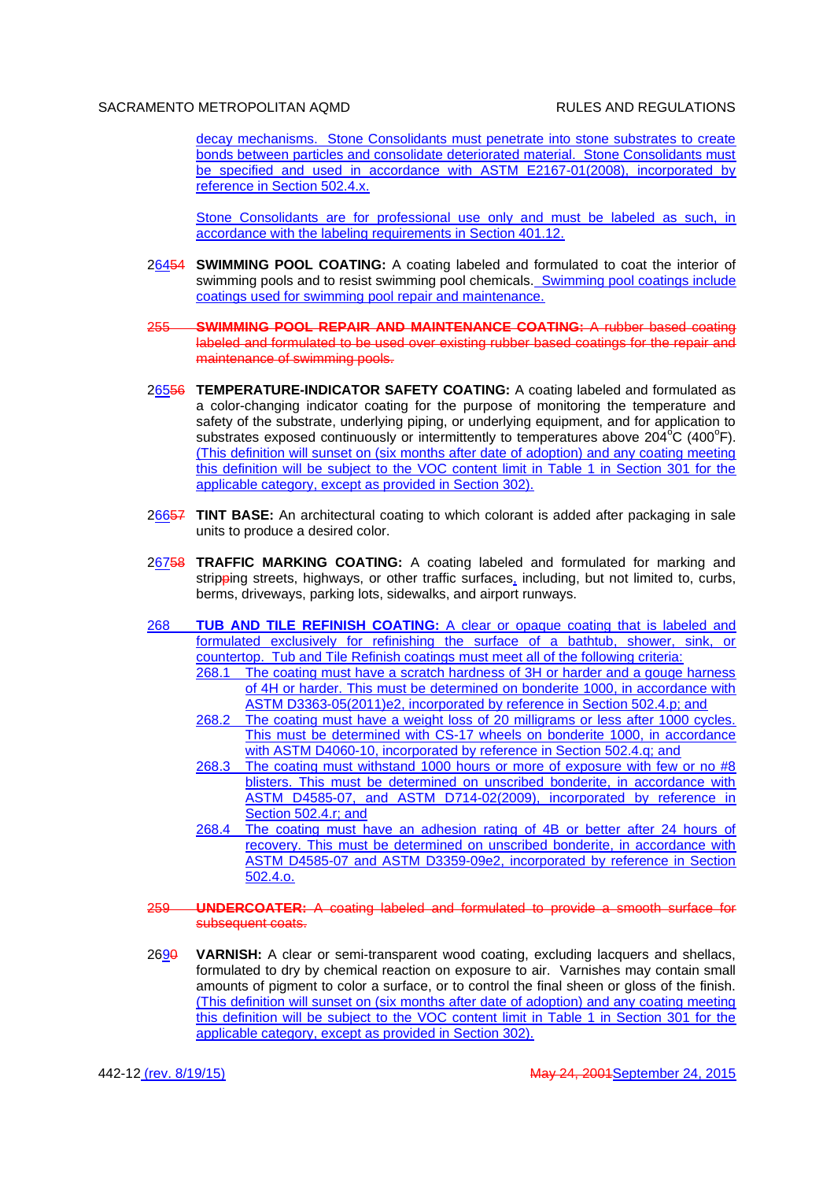decay mechanisms. Stone Consolidants must penetrate into stone substrates to create bonds between particles and consolidate deteriorated material. Stone Consolidants must be specified and used in accordance with ASTM E2167-01(2008), incorporated by reference in Section 502.4.x.

Stone Consolidants are for professional use only and must be labeled as such, in accordance with the labeling requirements in Section 401.12.

- 26454 **SWIMMING POOL COATING:** A coating labeled and formulated to coat the interior of swimming pools and to resist swimming pool chemicals. Swimming pool coatings include coatings used for swimming pool repair and maintenance.
- 255 **SWIMMING POOL REPAIR AND MAINTENANCE COATING:** A rubber based coating labeled and formulated to be used over existing rubber based coatings for the repair and maintenance of swimming pools.
- 26556 **TEMPERATURE-INDICATOR SAFETY COATING:** A coating labeled and formulated as a color-changing indicator coating for the purpose of monitoring the temperature and safety of the substrate, underlying piping, or underlying equipment, and for application to substrates exposed continuously or intermittently to temperatures above 204<sup>o</sup>C (400<sup>o</sup>F). (This definition will sunset on (six months after date of adoption) and any coating meeting this definition will be subject to the VOC content limit in Table 1 in Section 301 for the applicable category, except as provided in Section 302).
- 26657 **TINT BASE:** An architectural coating to which colorant is added after packaging in sale units to produce a desired color.
- 26758 **TRAFFIC MARKING COATING:** A coating labeled and formulated for marking and stripping streets, highways, or other traffic surfaces, including, but not limited to, curbs, berms, driveways, parking lots, sidewalks, and airport runways.
- 268 **TUB AND TILE REFINISH COATING:** A clear or opaque coating that is labeled and formulated exclusively for refinishing the surface of a bathtub, shower, sink, or countertop. Tub and Tile Refinish coatings must meet all of the following criteria:
	- 268.1 The coating must have a scratch hardness of 3H or harder and a gouge harness of 4H or harder. This must be determined on bonderite 1000, in accordance with ASTM D3363-05(2011)e2, incorporated by reference in Section 502.4.p; and
	- 268.2 The coating must have a weight loss of 20 milligrams or less after 1000 cycles. This must be determined with CS-17 wheels on bonderite 1000, in accordance with ASTM D4060-10, incorporated by reference in Section 502.4.q; and
	- 268.3 The coating must withstand 1000 hours or more of exposure with few or no #8 blisters. This must be determined on unscribed bonderite, in accordance with ASTM D4585-07, and ASTM D714-02(2009), incorporated by reference in Section 502.4.r; and
	- 268.4 The coating must have an adhesion rating of 4B or better after 24 hours of recovery. This must be determined on unscribed bonderite, in accordance with ASTM D4585-07 and ASTM D3359-09e2, incorporated by reference in Section 502.4.o.
- 259 **UNDERCOATER:** A coating labeled and formulated to provide a smooth surface for subsequent coats.
- 2690 **VARNISH:** A clear or semi-transparent wood coating, excluding lacquers and shellacs, formulated to dry by chemical reaction on exposure to air. Varnishes may contain small amounts of pigment to color a surface, or to control the final sheen or gloss of the finish. (This definition will sunset on (six months after date of adoption) and any coating meeting this definition will be subject to the VOC content limit in Table 1 in Section 301 for the applicable category, except as provided in Section 302).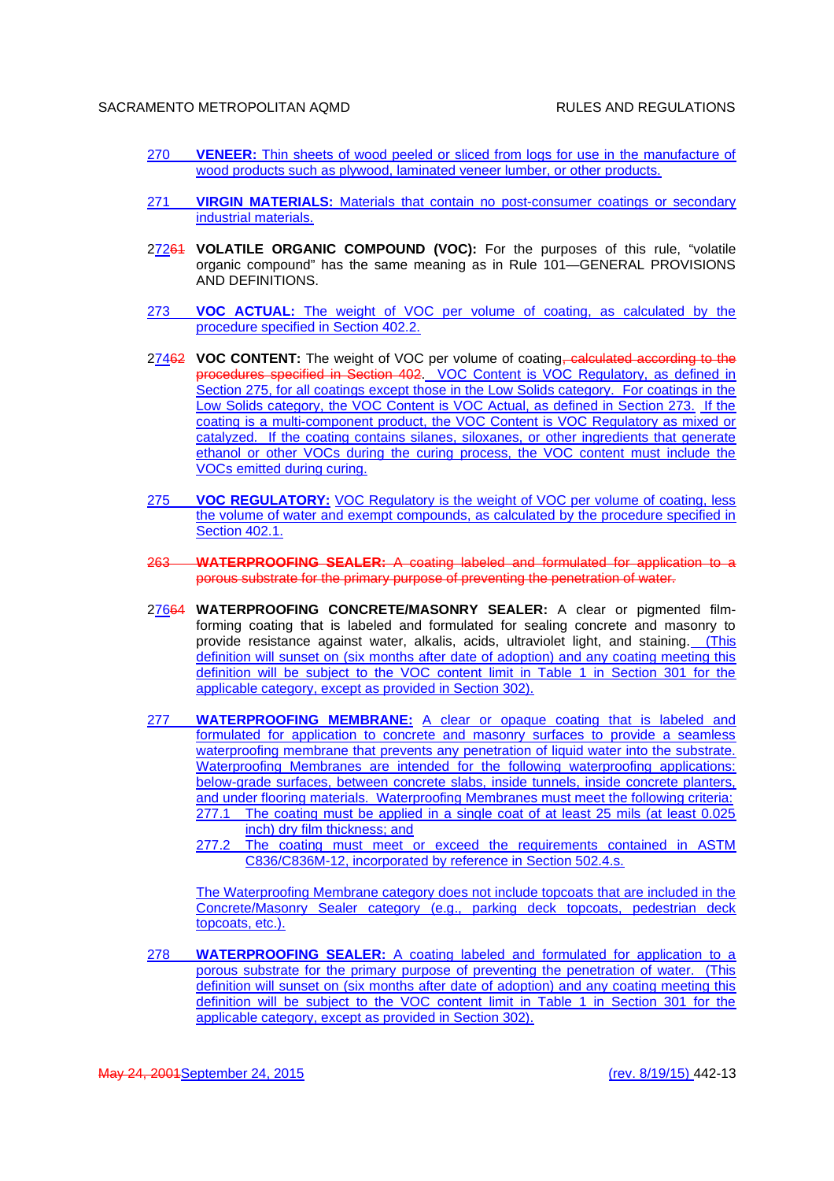- 270 **VENEER:** Thin sheets of wood peeled or sliced from logs for use in the manufacture of wood products such as plywood, laminated veneer lumber, or other products.
- 271 **VIRGIN MATERIALS:** Materials that contain no post-consumer coatings or secondary industrial materials.
- 27264 VOLATILE ORGANIC COMPOUND (VOC): For the purposes of this rule, "volatile organic compound" has the same meaning as in Rule 101—GENERAL PROVISIONS AND DEFINITIONS.
- 273 **VOC ACTUAL:** The weight of VOC per volume of coating, as calculated by the procedure specified in Section 402.2.
- 27462 VOC CONTENT: The weight of VOC per volume of coating, calculated according to the procedures specified in Section 402. VOC Content is VOC Regulatory, as defined in Section 275, for all coatings except those in the Low Solids category. For coatings in the Low Solids category, the VOC Content is VOC Actual, as defined in Section 273. If the coating is a multi-component product, the VOC Content is VOC Regulatory as mixed or catalyzed. If the coating contains silanes, siloxanes, or other ingredients that generate ethanol or other VOCs during the curing process, the VOC content must include the VOCs emitted during curing.
- 275 **VOC REGULATORY:** VOC Regulatory is the weight of VOC per volume of coating, less the volume of water and exempt compounds, as calculated by the procedure specified in Section 402.1.
- 263 **WATERPROOFING SEALER:** A coating labeled and formulated for application to a porous substrate for the primary purpose of preventing the penetration of water.
- 27664 **WATERPROOFING CONCRETE/MASONRY SEALER:** A clear or pigmented filmforming coating that is labeled and formulated for sealing concrete and masonry to provide resistance against water, alkalis, acids, ultraviolet light, and staining. (This definition will sunset on (six months after date of adoption) and any coating meeting this definition will be subject to the VOC content limit in Table 1 in Section 301 for the applicable category, except as provided in Section 302).
- 277 **WATERPROOFING MEMBRANE:** A clear or opaque coating that is labeled and formulated for application to concrete and masonry surfaces to provide a seamless waterproofing membrane that prevents any penetration of liquid water into the substrate. Waterproofing Membranes are intended for the following waterproofing applications: below-grade surfaces, between concrete slabs, inside tunnels, inside concrete planters, and under flooring materials. Waterproofing Membranes must meet the following criteria: 277.1 The coating must be applied in a single coat of at least 25 mils (at least 0.025 inch) dry film thickness; and
	- 277.2 The coating must meet or exceed the requirements contained in ASTM C836/C836M-12, incorporated by reference in Section 502.4.s.

The Waterproofing Membrane category does not include topcoats that are included in the Concrete/Masonry Sealer category (e.g., parking deck topcoats, pedestrian deck topcoats, etc.).

278 **WATERPROOFING SEALER:** A coating labeled and formulated for application to a porous substrate for the primary purpose of preventing the penetration of water. (This definition will sunset on (six months after date of adoption) and any coating meeting this definition will be subject to the VOC content limit in Table 1 in Section 301 for the applicable category, except as provided in Section 302).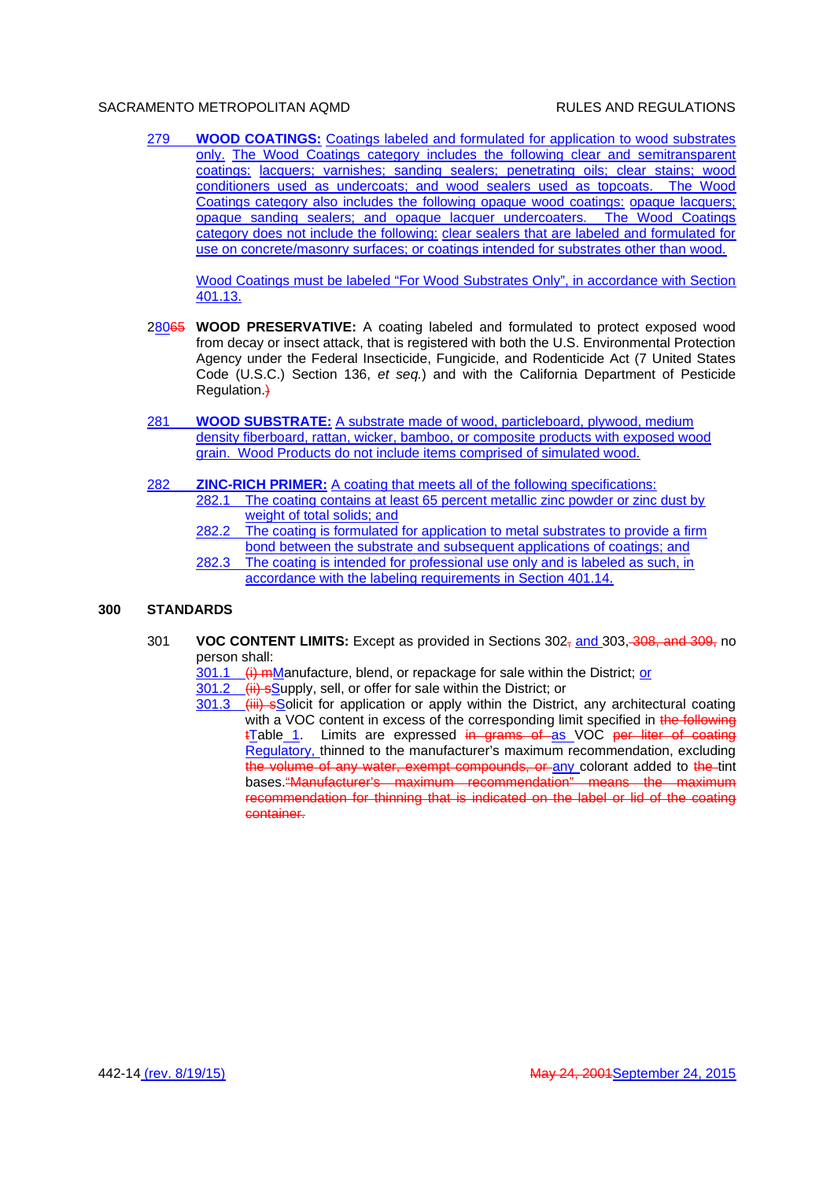279 **WOOD COATINGS:** Coatings labeled and formulated for application to wood substrates only. The Wood Coatings category includes the following clear and semitransparent coatings: lacquers; varnishes; sanding sealers; penetrating oils; clear stains; wood conditioners used as undercoats; and wood sealers used as topcoats. The Wood Coatings category also includes the following opaque wood coatings: opaque lacquers; opaque sanding sealers; and opaque lacquer undercoaters. The Wood Coatings category does not include the following: clear sealers that are labeled and formulated for use on concrete/masonry surfaces; or coatings intended for substrates other than wood.

Wood Coatings must be labeled "For Wood Substrates Only", in accordance with Section 401.13.

- 28065 **WOOD PRESERVATIVE:** A coating labeled and formulated to protect exposed wood from decay or insect attack, that is registered with both the U.S. Environmental Protection Agency under the Federal Insecticide, Fungicide, and Rodenticide Act (7 United States Code (U.S.C.) Section 136, *et seq.*) and with the California Department of Pesticide Regulation.<sup>}</sup>
- 281 **WOOD SUBSTRATE:** A substrate made of wood, particleboard, plywood, medium density fiberboard, rattan, wicker, bamboo, or composite products with exposed wood grain. Wood Products do not include items comprised of simulated wood.
- 282 **ZINC-RICH PRIMER:** A coating that meets all of the following specifications: 282.1 The coating contains at least 65 percent metallic zinc powder or zinc dust by weight of total solids; and
	- 282.2 The coating is formulated for application to metal substrates to provide a firm bond between the substrate and subsequent applications of coatings; and 282.3 The coating is intended for professional use only and is labeled as such, in accordance with the labeling requirements in Section 401.14.

### **300 STANDARDS**

301 **VOC CONTENT LIMITS:** Except as provided in Sections 302, and 303, 308, and 309, no person shall:

 $301.1$  (i) mManufacture, blend, or repackage for sale within the District; or

301.2 (ii) sSupply, sell, or offer for sale within the District; or

301.3 (iii) sSolicit for application or apply within the District, any architectural coating with a VOC content in excess of the corresponding limit specified in the following tTable 1. Limits are expressed in grams of as VOC per liter of coating Regulatory, thinned to the manufacturer's maximum recommendation, excluding the volume of any water, exempt compounds, or any colorant added to the tint bases."Manufacturer's maximum recommendation" means the maximum recommendation for thinning that is indicated on the label or lid of the coating container.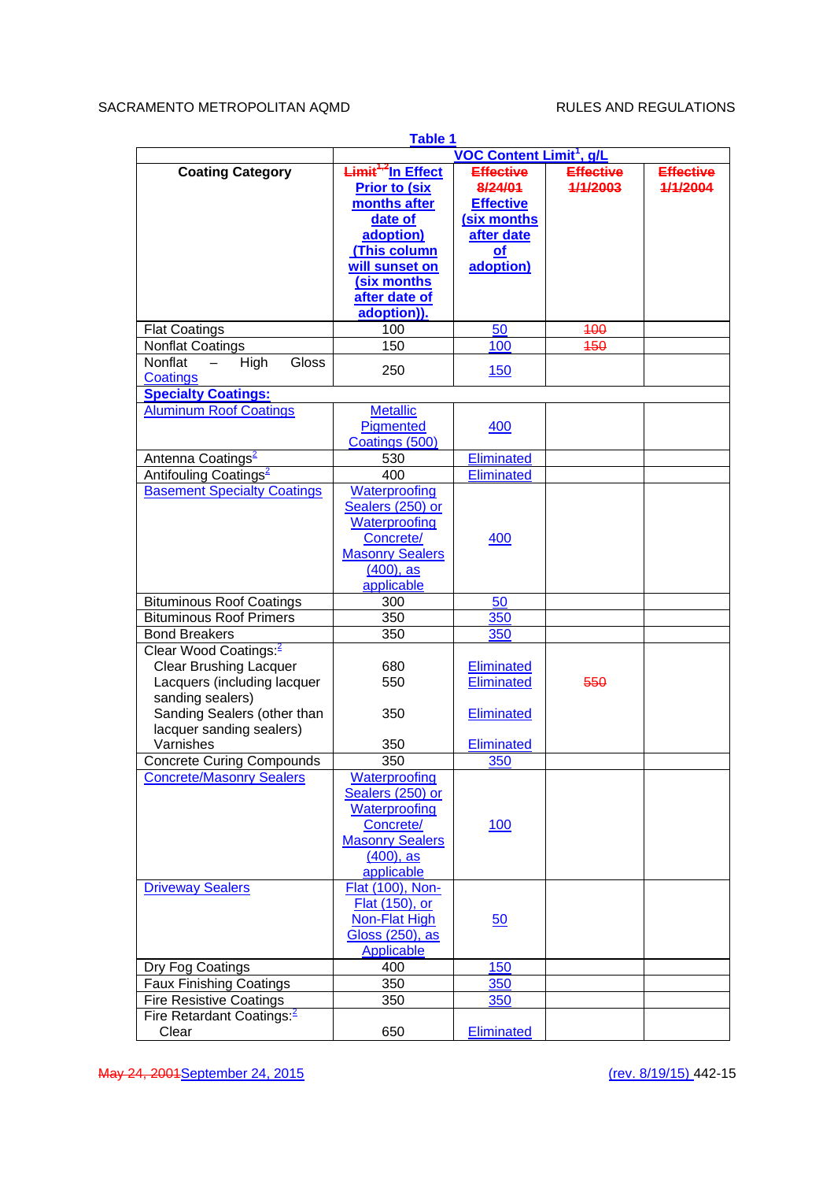| Table 1                               |                                          |                                            |                  |                  |
|---------------------------------------|------------------------------------------|--------------------------------------------|------------------|------------------|
|                                       |                                          | <b>VOC Content Limit<sup>1</sup></b> , g/L |                  |                  |
| <b>Coating Category</b>               | <del>Limit<sup>1,2</sup></del> In Effect | <b>Effective</b>                           | <b>Effective</b> | <b>Effective</b> |
|                                       | <b>Prior to (six</b>                     | 8/24/01                                    | 1/1/2003         | 1/1/2004         |
|                                       | months after                             | <b>Effective</b>                           |                  |                  |
|                                       | date of                                  | (six months                                |                  |                  |
|                                       | adoption)                                | after date                                 |                  |                  |
|                                       | (This column                             |                                            |                  |                  |
|                                       |                                          | $\Omega$                                   |                  |                  |
|                                       | will sunset on                           | adoption)                                  |                  |                  |
|                                       | (six months                              |                                            |                  |                  |
|                                       | after date of                            |                                            |                  |                  |
|                                       | adoption)).                              |                                            |                  |                  |
| <b>Flat Coatings</b>                  | 100                                      | 50                                         | 400              |                  |
| <b>Nonflat Coatings</b>               | 150                                      | 100                                        | 450              |                  |
| Nonflat<br>Gloss<br>High              |                                          |                                            |                  |                  |
| Coatings                              | 250                                      | <b>150</b>                                 |                  |                  |
| <b>Specialty Coatings:</b>            |                                          |                                            |                  |                  |
|                                       |                                          |                                            |                  |                  |
| <b>Aluminum Roof Coatings</b>         | <b>Metallic</b>                          |                                            |                  |                  |
|                                       | Pigmented                                | 400                                        |                  |                  |
|                                       | Coatings (500)                           |                                            |                  |                  |
| Antenna Coatings <sup>2</sup>         | 530                                      | Eliminated                                 |                  |                  |
| Antifouling Coatings <sup>2</sup>     | 400                                      | Eliminated                                 |                  |                  |
| <b>Basement Specialty Coatings</b>    | Waterproofing                            |                                            |                  |                  |
|                                       | Sealers (250) or                         |                                            |                  |                  |
|                                       | Waterproofing                            |                                            |                  |                  |
|                                       | Concrete/                                | 400                                        |                  |                  |
|                                       |                                          |                                            |                  |                  |
|                                       | <b>Masonry Sealers</b>                   |                                            |                  |                  |
|                                       | $(400)$ , as                             |                                            |                  |                  |
|                                       | applicable                               |                                            |                  |                  |
| <b>Bituminous Roof Coatings</b>       | 300                                      | 50                                         |                  |                  |
| <b>Bituminous Roof Primers</b>        | 350                                      | 350                                        |                  |                  |
| <b>Bond Breakers</b>                  | 350                                      | 350                                        |                  |                  |
| Clear Wood Coatings: <sup>2</sup>     |                                          |                                            |                  |                  |
| <b>Clear Brushing Lacquer</b>         | 680                                      | <b>Eliminated</b>                          |                  |                  |
| Lacquers (including lacquer           | 550                                      | Eliminated                                 | 550              |                  |
| sanding sealers)                      |                                          |                                            |                  |                  |
| Sanding Sealers (other than           | 350                                      | Eliminated                                 |                  |                  |
|                                       |                                          |                                            |                  |                  |
| lacquer sanding sealers)              |                                          |                                            |                  |                  |
| Varnishes                             | 350                                      | <b>Eliminated</b>                          |                  |                  |
| <b>Concrete Curing Compounds</b>      | 350                                      | 350                                        |                  |                  |
| <b>Concrete/Masonry Sealers</b>       | Waterproofing                            |                                            |                  |                  |
|                                       | Sealers (250) or                         |                                            |                  |                  |
|                                       | <b>Waterproofing</b>                     |                                            |                  |                  |
|                                       | Concrete/                                | <u>100</u>                                 |                  |                  |
|                                       | <b>Masonry Sealers</b>                   |                                            |                  |                  |
|                                       | $(400)$ , as                             |                                            |                  |                  |
|                                       |                                          |                                            |                  |                  |
|                                       | applicable                               |                                            |                  |                  |
| <b>Driveway Sealers</b>               | Flat (100), Non-                         |                                            |                  |                  |
|                                       | Flat (150), or                           |                                            |                  |                  |
|                                       | Non-Flat High                            | 50                                         |                  |                  |
|                                       | Gloss (250), as                          |                                            |                  |                  |
|                                       | <b>Applicable</b>                        |                                            |                  |                  |
| Dry Fog Coatings                      | 400                                      | 150                                        |                  |                  |
| <b>Faux Finishing Coatings</b>        | 350                                      | 350                                        |                  |                  |
|                                       | 350                                      |                                            |                  |                  |
| <b>Fire Resistive Coatings</b>        |                                          | 350                                        |                  |                  |
| Fire Retardant Coatings: <sup>2</sup> |                                          |                                            |                  |                  |
| Clear                                 | 650                                      | Eliminated                                 |                  |                  |

May 24, 2001 September 24, 2015 (rev. 8/19/15) 442-15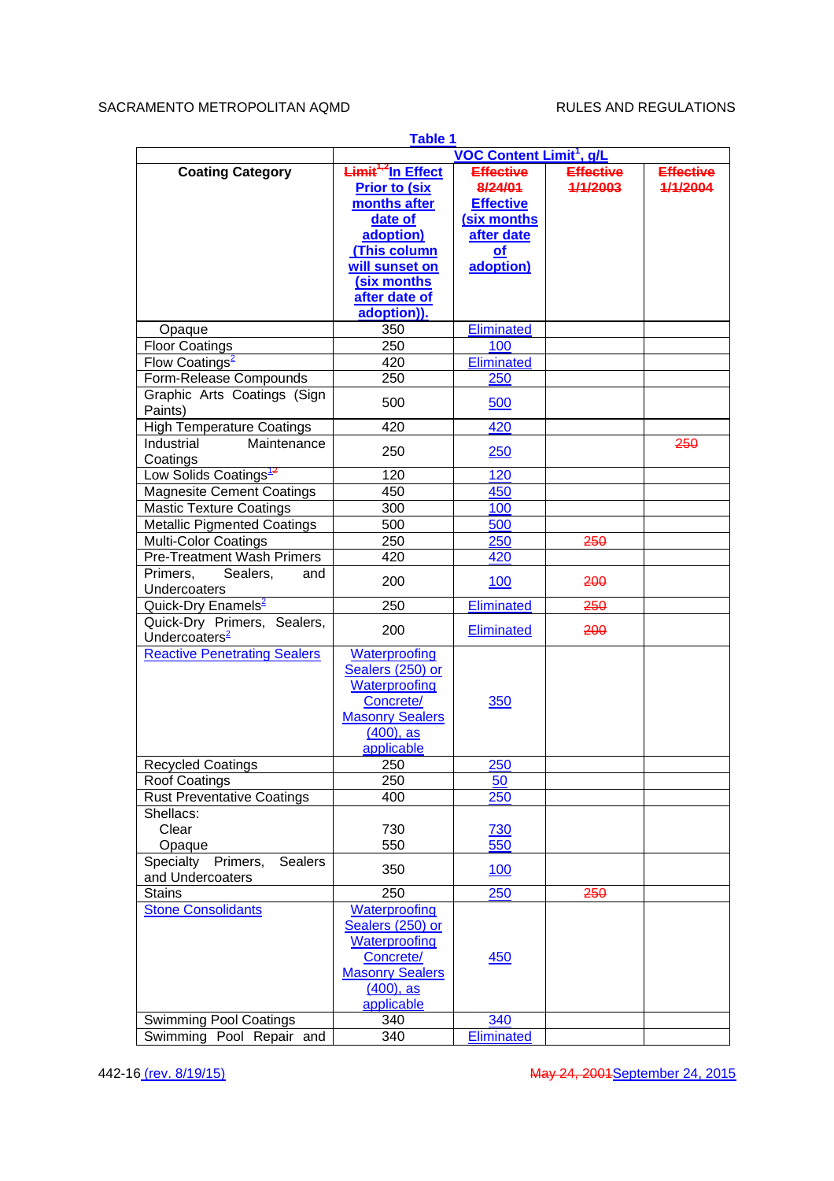|                                      | Table 1<br><b>VOC Content Limit<sup>1</sup></b> , g/L |                   |                  |                  |
|--------------------------------------|-------------------------------------------------------|-------------------|------------------|------------------|
|                                      |                                                       |                   |                  |                  |
| <b>Coating Category</b>              | Limit <sup>1,2</sup> In Effect                        | <b>Effective</b>  | <b>Effective</b> | <b>Effective</b> |
|                                      | <b>Prior to (six)</b>                                 | 8/24/01           | 1/1/2003         | 1/1/2004         |
|                                      | months after                                          | <b>Effective</b>  |                  |                  |
|                                      | date of                                               | (six months       |                  |                  |
|                                      | adoption)                                             | after date        |                  |                  |
|                                      | (This column                                          | <u>of</u>         |                  |                  |
|                                      | will sunset on                                        | adoption)         |                  |                  |
|                                      | (six months                                           |                   |                  |                  |
|                                      | after date of                                         |                   |                  |                  |
|                                      | adoption)).                                           |                   |                  |                  |
|                                      |                                                       | <b>Eliminated</b> |                  |                  |
| Opaque                               | 350                                                   |                   |                  |                  |
| <b>Floor Coatings</b>                | 250                                                   | 100               |                  |                  |
| Flow Coatings <sup>2</sup>           | 420                                                   | <b>Eliminated</b> |                  |                  |
| Form-Release Compounds               | 250                                                   | 250               |                  |                  |
| Graphic Arts Coatings (Sign          |                                                       |                   |                  |                  |
| Paints)                              | 500                                                   | 500               |                  |                  |
| <b>High Temperature Coatings</b>     | $\overline{420}$                                      | 420               |                  |                  |
| Industrial<br>Maintenance            |                                                       |                   |                  | 250              |
| Coatings                             | 250                                                   | 250               |                  |                  |
|                                      |                                                       | 120               |                  |                  |
| Low Solids Coatings <sup>12</sup>    | 120                                                   |                   |                  |                  |
| <b>Magnesite Cement Coatings</b>     | 450                                                   | 450               |                  |                  |
| <b>Mastic Texture Coatings</b>       | 300                                                   | 100               |                  |                  |
| <b>Metallic Pigmented Coatings</b>   | 500                                                   | 500               |                  |                  |
| <b>Multi-Color Coatings</b>          | 250                                                   | 250               | 250              |                  |
| <b>Pre-Treatment Wash Primers</b>    | 420                                                   | 420               |                  |                  |
| Primers,<br>Sealers,<br>and          |                                                       |                   |                  |                  |
| Undercoaters                         | 200                                                   | <u>100</u>        | 200              |                  |
| Quick-Dry Enamels <sup>2</sup>       | 250                                                   | Eliminated        | 250              |                  |
|                                      |                                                       |                   |                  |                  |
| Quick-Dry Primers, Sealers,          | 200                                                   | Eliminated        | 200              |                  |
| Undercoaters <sup>2</sup>            |                                                       |                   |                  |                  |
| <b>Reactive Penetrating Sealers</b>  | Waterproofing                                         |                   |                  |                  |
|                                      | Sealers (250) or                                      |                   |                  |                  |
|                                      | Waterproofing                                         |                   |                  |                  |
|                                      | Concrete/                                             | 350               |                  |                  |
|                                      | <b>Masonry Sealers</b>                                |                   |                  |                  |
|                                      | $(400)$ , as                                          |                   |                  |                  |
|                                      | applicable                                            |                   |                  |                  |
| <b>Recycled Coatings</b>             | 250                                                   | 250               |                  |                  |
|                                      | 250                                                   | 50                |                  |                  |
| Roof Coatings                        |                                                       |                   |                  |                  |
| <b>Rust Preventative Coatings</b>    | 400                                                   | 250               |                  |                  |
| Shellacs:                            |                                                       |                   |                  |                  |
| Clear                                | 730                                                   | 730               |                  |                  |
| Opaque                               | 550                                                   | 550               |                  |                  |
| Specialty Primers,<br><b>Sealers</b> | 350                                                   | <u>100</u>        |                  |                  |
| and Undercoaters                     |                                                       |                   |                  |                  |
| <b>Stains</b>                        | 250                                                   | 250               | 250              |                  |
| <b>Stone Consolidants</b>            | <b>Waterproofing</b>                                  |                   |                  |                  |
|                                      | Sealers (250) or                                      |                   |                  |                  |
|                                      | Waterproofing                                         |                   |                  |                  |
|                                      | Concrete/                                             | <u>450</u>        |                  |                  |
|                                      |                                                       |                   |                  |                  |
|                                      | <b>Masonry Sealers</b>                                |                   |                  |                  |
|                                      | $(400)$ , as                                          |                   |                  |                  |
|                                      | applicable                                            |                   |                  |                  |
| <b>Swimming Pool Coatings</b>        | 340                                                   | 340               |                  |                  |
| Swimming Pool Repair and             | 340                                                   | <b>Eliminated</b> |                  |                  |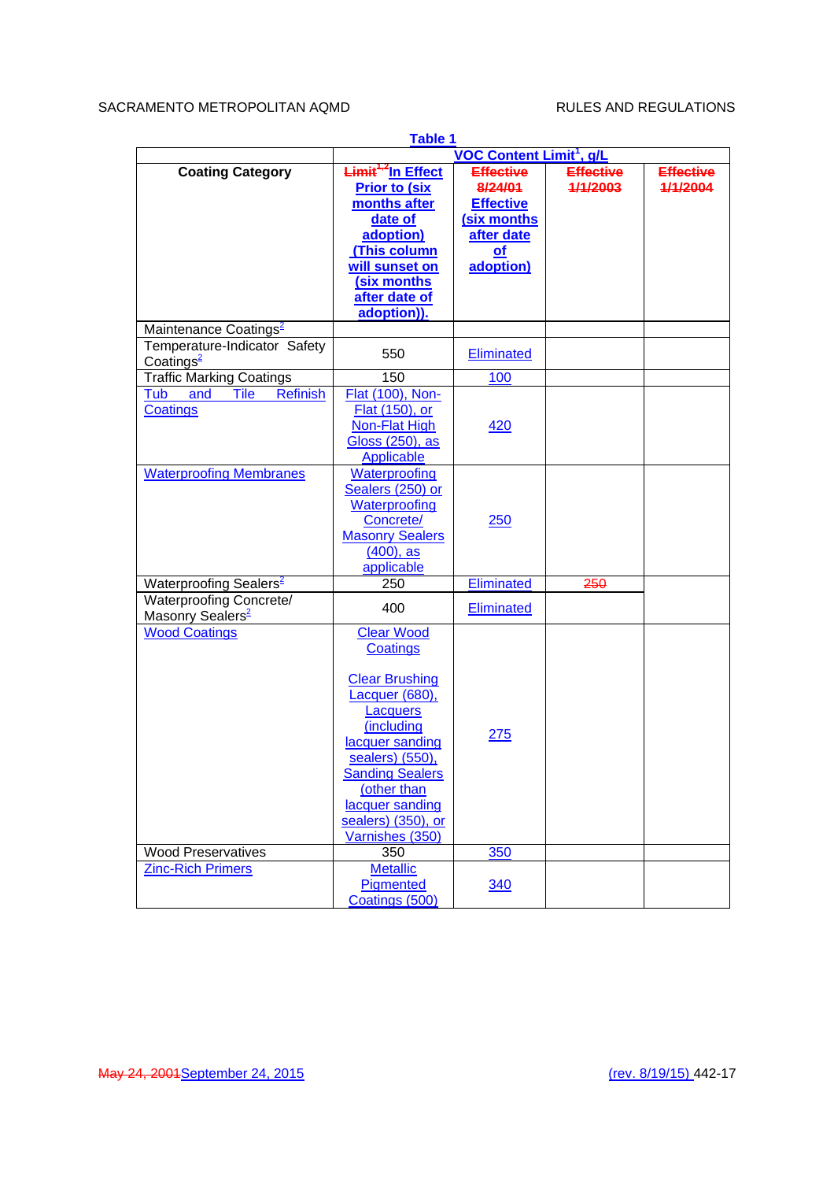|                                                          | Table 1                                                                                                                                                                                                                                              |                                                                                                            |                              |                              |
|----------------------------------------------------------|------------------------------------------------------------------------------------------------------------------------------------------------------------------------------------------------------------------------------------------------------|------------------------------------------------------------------------------------------------------------|------------------------------|------------------------------|
|                                                          | <b>VOC Content Limit<sup>1</sup></b> , g/L                                                                                                                                                                                                           |                                                                                                            |                              |                              |
| <b>Coating Category</b>                                  | <del>Limit<sup>1,2</sup></del> In Effect<br><b>Prior to (six</b><br>months after<br>date of<br>adoption)<br>(This column<br>will sunset on<br>(six months<br>after date of<br>adoption)).                                                            | <b>Effective</b><br>8/24/01<br><b>Effective</b><br>(six months<br>after date<br>$\mathbf{of}$<br>adoption) | <b>Effective</b><br>1/1/2003 | <b>Effective</b><br>1/1/2004 |
| Maintenance Coatings <sup>2</sup>                        |                                                                                                                                                                                                                                                      |                                                                                                            |                              |                              |
| Temperature-Indicator Safety<br>Coatings <sup>2</sup>    | 550                                                                                                                                                                                                                                                  | <b>Eliminated</b>                                                                                          |                              |                              |
| <b>Traffic Marking Coatings</b>                          | 150                                                                                                                                                                                                                                                  | 100                                                                                                        |                              |                              |
| <b>Tile</b><br><b>Refinish</b><br>Tub<br>and<br>Coatings | Flat (100), Non-<br>Flat (150), or<br>Non-Flat High<br>Gloss (250), as<br><b>Applicable</b>                                                                                                                                                          | <u>420</u>                                                                                                 |                              |                              |
| <b>Waterproofing Membranes</b>                           | <b>Waterproofing</b><br>Sealers (250) or<br>Waterproofing<br>Concrete/<br><b>Masonry Sealers</b><br>$(400)$ , as<br>applicable                                                                                                                       | <u>250</u>                                                                                                 |                              |                              |
| Waterproofing Sealers <sup>2</sup>                       | 250                                                                                                                                                                                                                                                  | Eliminated                                                                                                 | 250                          |                              |
| Waterproofing Concrete/<br>Masonry Sealers <sup>2</sup>  | 400                                                                                                                                                                                                                                                  | <b>Eliminated</b>                                                                                          |                              |                              |
| <b>Wood Coatings</b>                                     | <b>Clear Wood</b><br>Coatings<br><b>Clear Brushing</b><br>Lacquer (680),<br><b>Lacquers</b><br>(including<br>lacquer sanding<br>sealers) (550),<br><b>Sanding Sealers</b><br>(other than<br>lacquer sanding<br>sealers) (350), or<br>Varnishes (350) | 275                                                                                                        |                              |                              |
| <b>Wood Preservatives</b>                                | 350                                                                                                                                                                                                                                                  | 350                                                                                                        |                              |                              |
| <b>Zinc-Rich Primers</b>                                 | <b>Metallic</b><br>Pigmented<br>Coatings (500)                                                                                                                                                                                                       | <u>340</u>                                                                                                 |                              |                              |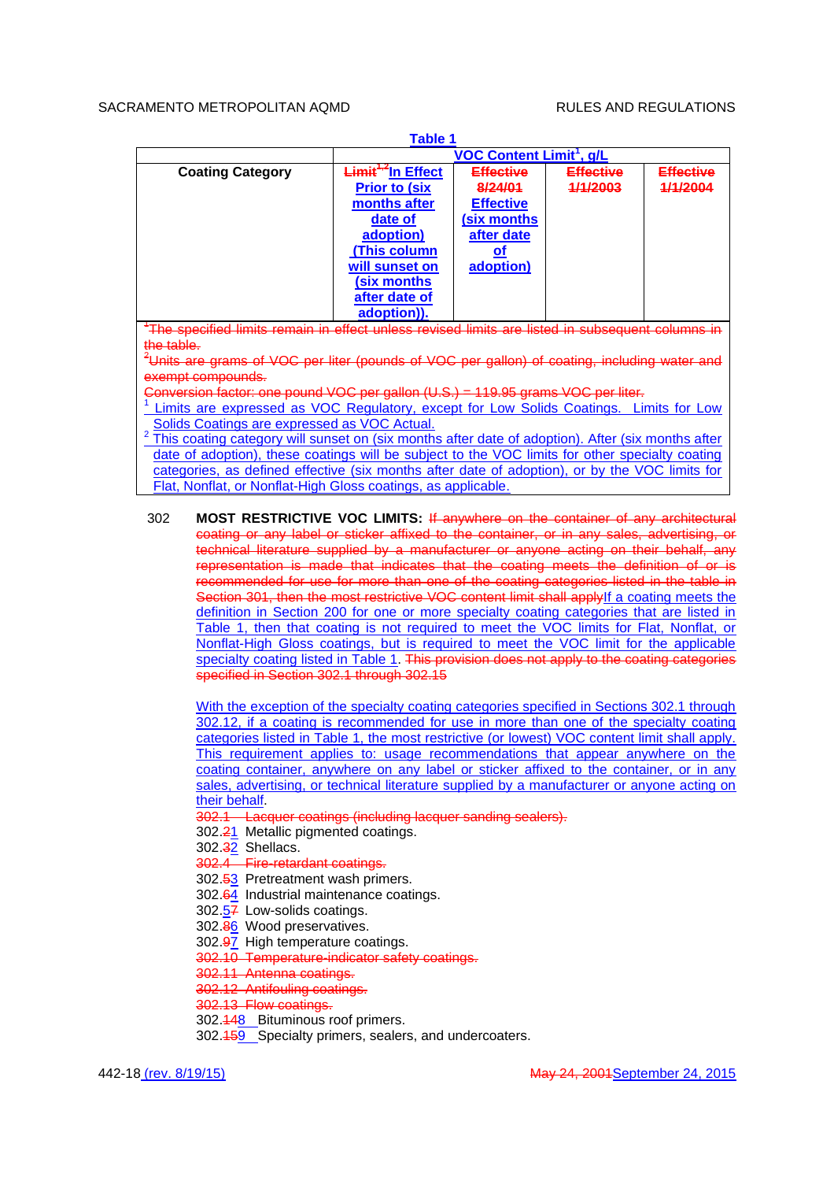| <b>Table 1</b>                                                                                               |                                                                                                                                                                                           |                                                                                           |                              |                              |
|--------------------------------------------------------------------------------------------------------------|-------------------------------------------------------------------------------------------------------------------------------------------------------------------------------------------|-------------------------------------------------------------------------------------------|------------------------------|------------------------------|
|                                                                                                              | <b>VOC Content Limit<sup>1</sup></b> , g/L                                                                                                                                                |                                                                                           |                              |                              |
| <b>Coating Category</b>                                                                                      | <del>Limit<sup>1,2</sup>I</del> n Effect<br><b>Prior to (six</b><br>months after<br>date of<br>adoption)<br>(This column<br>will sunset on<br>(six months<br>after date of<br>adoption)). | <b>Effective</b><br>8/24/01<br><b>Effective</b><br>(six months<br>after date<br>adoption) | <b>Effective</b><br>1/1/2003 | <b>Effective</b><br>1/1/2004 |
| <sup>4</sup> The specified limite remain in effect unless revised limite are listed in subsequent columns in |                                                                                                                                                                                           |                                                                                           |                              |                              |

<u>-effect unless revised limits</u> the table.

<sup>2</sup>Units are grams of VOC per liter (pounds of VOC per gallon) of coating, including water and exempt compounds.

Conversion factor: one pound VOC per gallon (U.S.) = 119.95 grams VOC per liter.

<sup>1</sup> Limits are expressed as VOC Regulatory, except for Low Solids Coatings. Limits for Low Solids Coatings are expressed as VOC Actual.

2 This coating category will sunset on (six months after date of adoption). After (six months after date of adoption), these coatings will be subject to the VOC limits for other specialty coating categories, as defined effective (six months after date of adoption), or by the VOC limits for Flat, Nonflat, or Nonflat-High Gloss coatings, as applicable.

302 **MOST RESTRICTIVE VOC LIMITS:** If anywhere on the container of any architectural coating or any label or sticker affixed to the container, or in any sales, advertising, or technical literature supplied by a manufacturer or anyone acting on their behalf, any representation is made that indicates that the coating meets the definition of or is recommended for use for more than one of the coating categories listed in the table in Section 301, then the most restrictive VOC content limit shall apply If a coating meets the definition in Section 200 for one or more specialty coating categories that are listed in Table 1, then that coating is not required to meet the VOC limits for Flat, Nonflat, or Nonflat-High Gloss coatings, but is required to meet the VOC limit for the applicable specialty coating listed in Table 1. This provision does not apply to the coating categories specified in Section 302.1 through 302.15

With the exception of the specialty coating categories specified in Sections 302.1 through 302.12, if a coating is recommended for use in more than one of the specialty coating categories listed in Table 1, the most restrictive (or lowest) VOC content limit shall apply. This requirement applies to: usage recommendations that appear anywhere on the coating container, anywhere on any label or sticker affixed to the container, or in any sales, advertising, or technical literature supplied by a manufacturer or anyone acting on their behalf.

- 302.1 Lacquer coatings (including lacquer sanding sealers).
- 302.21 Metallic pigmented coatings.
- 302.32 Shellacs.
- 302.4 Fire-retardant coatings.
- 302.53 Pretreatment wash primers.
- 302.64 Industrial maintenance coatings.
- 302.57 Low-solids coatings.
- 302.86 Wood preservatives.
- 302.97 High temperature coatings.
- 302.10 Temperature-indicator safety coatings.
- 302.11 Antenna coatings.
- 302.12 Antifouling coatings.
- 302.13 Flow coatings.
- 302.148 Bituminous roof primers.
- 302.159 Specialty primers, sealers, and undercoaters.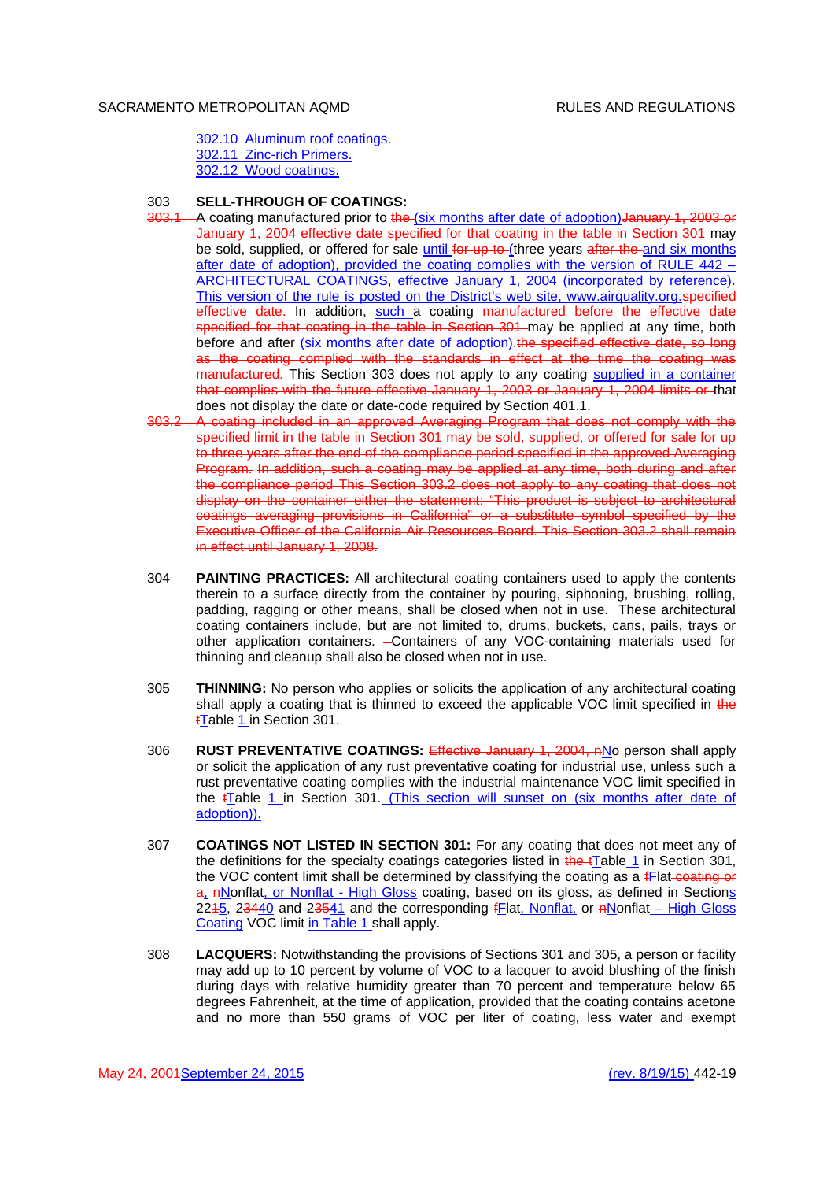302.10 Aluminum roof coatings. 302.11 Zinc-rich Primers. 302.12 Wood coatings.

## 303 **SELL-THROUGH OF COATINGS:**

- 303.1 A coating manufactured prior to the (six months after date of adoption) January 1, 2003 or January 1, 2004 effective date specified for that coating in the table in Section 301 may be sold, supplied, or offered for sale until for up to (three years after the and six months after date of adoption), provided the coating complies with the version of RULE 442 – ARCHITECTURAL COATINGS, effective January 1, 2004 (incorporated by reference). This version of the rule is posted on the District's web site, www.airquality.org.specified effective date. In addition, such a coating manufactured before the effective date specified for that coating in the table in Section 301 may be applied at any time, both before and after (six months after date of adoption). the specified effective date, so long as the coating complied with the standards in effect at the time the coating was manufactured. This Section 303 does not apply to any coating supplied in a container that complies with the future effective January 1, 2003 or January 1, 2004 limits or that does not display the date or date-code required by Section 401.1.
- 303.2 A coating included in an approved Averaging Program that does not comply with the specified limit in the table in Section 301 may be sold, supplied, or offered for sale for up to three years after the end of the compliance period specified in the approved Averaging Program. In addition, such a coating may be applied at any time, both during and after the compliance period This Section 303.2 does not apply to any coating that does not display on the container either the statement: "This product is subject to architectural coatings averaging provisions in California" or a substitute symbol specified by the Executive Officer of the California Air Resources Board. This Section 303.2 shall remain in effect until January 1, 2008.
- 304 **PAINTING PRACTICES:** All architectural coating containers used to apply the contents therein to a surface directly from the container by pouring, siphoning, brushing, rolling, padding, ragging or other means, shall be closed when not in use. These architectural coating containers include, but are not limited to, drums, buckets, cans, pails, trays or other application containers. - Containers of any VOC-containing materials used for thinning and cleanup shall also be closed when not in use.
- 305 **THINNING:** No person who applies or solicits the application of any architectural coating shall apply a coating that is thinned to exceed the applicable VOC limit specified in the tTable 1 in Section 301.
- 306 **RUST PREVENTATIVE COATINGS:** Effective January 1, 2004, nNo person shall apply or solicit the application of any rust preventative coating for industrial use, unless such a rust preventative coating complies with the industrial maintenance VOC limit specified in the tTable 1 in Section 301. (This section will sunset on (six months after date of adoption)).
- 307 **COATINGS NOT LISTED IN SECTION 301:** For any coating that does not meet any of the definitions for the specialty coatings categories listed in the tTable 1 in Section 301, the VOC content limit shall be determined by classifying the coating as a fElat-coating or a, ANonflat, or Nonflat - High Gloss coating, based on its gloss, as defined in Sections 2245, 23440 and 23541 and the corresponding fFlat, Nonflat, or nNonflat – High Gloss Coating VOC limit in Table 1 shall apply.
- 308 **LACQUERS:** Notwithstanding the provisions of Sections 301 and 305, a person or facility may add up to 10 percent by volume of VOC to a lacquer to avoid blushing of the finish during days with relative humidity greater than 70 percent and temperature below 65 degrees Fahrenheit, at the time of application, provided that the coating contains acetone and no more than 550 grams of VOC per liter of coating, less water and exempt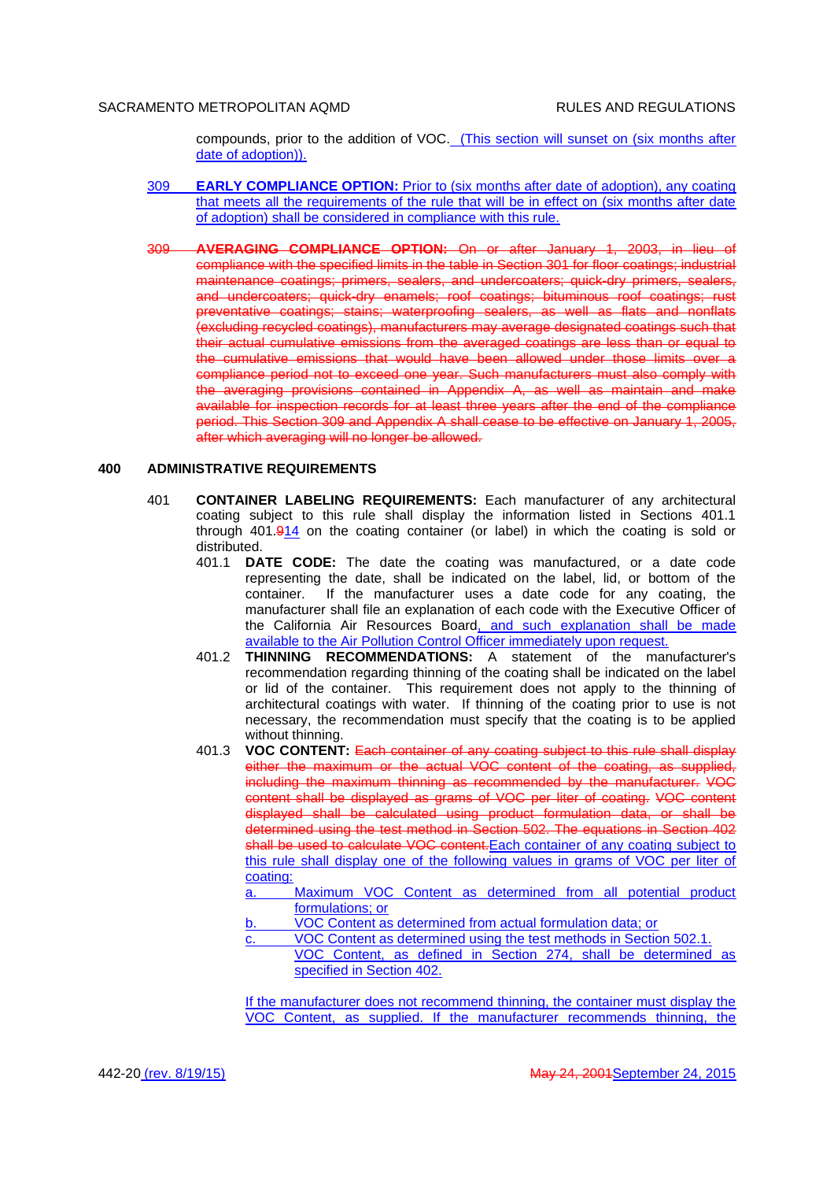compounds, prior to the addition of VOC. (This section will sunset on (six months after date of adoption)).

- 309 **EARLY COMPLIANCE OPTION:** Prior to (six months after date of adoption), any coating that meets all the requirements of the rule that will be in effect on (six months after date of adoption) shall be considered in compliance with this rule.
- 309 **AVERAGING COMPLIANCE OPTION:** On or after January 1, 2003, in lieu of compliance with the specified limits in the table in Section 301 for floor coatings; industrial maintenance coatings; primers, sealers, and undercoaters; quick-dry primers, sealers, and undercoaters; quick-dry enamels; roof coatings; bituminous roof coatings; rust preventative coatings; stains; waterproofing sealers, as well as flats and nonflats (excluding recycled coatings), manufacturers may average designated coatings such that their actual cumulative emissions from the averaged coatings are less than or equal to the cumulative emissions that would have been allowed under those limits over a compliance period not to exceed one year. Such manufacturers must also comply with the averaging provisions contained in Appendix A, as well as maintain and make available for inspection records for at least three years after the end of the compliance period. This Section 309 and Appendix A shall cease to be effective on January 1, 2005, after which averaging will no longer be allowed.

## **400 ADMINISTRATIVE REQUIREMENTS**

- 401 **CONTAINER LABELING REQUIREMENTS:** Each manufacturer of any architectural coating subject to this rule shall display the information listed in Sections 401.1 through 401.914 on the coating container (or label) in which the coating is sold or distributed.
	- 401.1 **DATE CODE:** The date the coating was manufactured, or a date code representing the date, shall be indicated on the label, lid, or bottom of the container. If the manufacturer uses a date code for any coating, the manufacturer shall file an explanation of each code with the Executive Officer of the California Air Resources Board, and such explanation shall be made available to the Air Pollution Control Officer immediately upon request.
	- 401.2 **THINNING RECOMMENDATIONS:** A statement of the manufacturer's recommendation regarding thinning of the coating shall be indicated on the label or lid of the container. This requirement does not apply to the thinning of architectural coatings with water. If thinning of the coating prior to use is not necessary, the recommendation must specify that the coating is to be applied without thinning.
	- 401.3 **VOC CONTENT:** Each container of any coating subject to this rule shall display either the maximum or the actual VOC content of the coating, as supplied, including the maximum thinning as recommended by the manufacturer. VOC content shall be displayed as grams of VOC per liter of coating. VOC content displayed shall be calculated using product formulation data, or shall be determined using the test method in Section 502. The equations in Section 402 shall be used to calculate VOC content. Each container of any coating subject to this rule shall display one of the following values in grams of VOC per liter of coating:
		- a. Maximum VOC Content as determined from all potential product formulations; or
		- b. VOC Content as determined from actual formulation data; or
		- c. VOC Content as determined using the test methods in Section 502.1.
			- VOC Content, as defined in Section 274, shall be determined as specified in Section 402.

If the manufacturer does not recommend thinning, the container must display the VOC Content, as supplied. If the manufacturer recommends thinning, the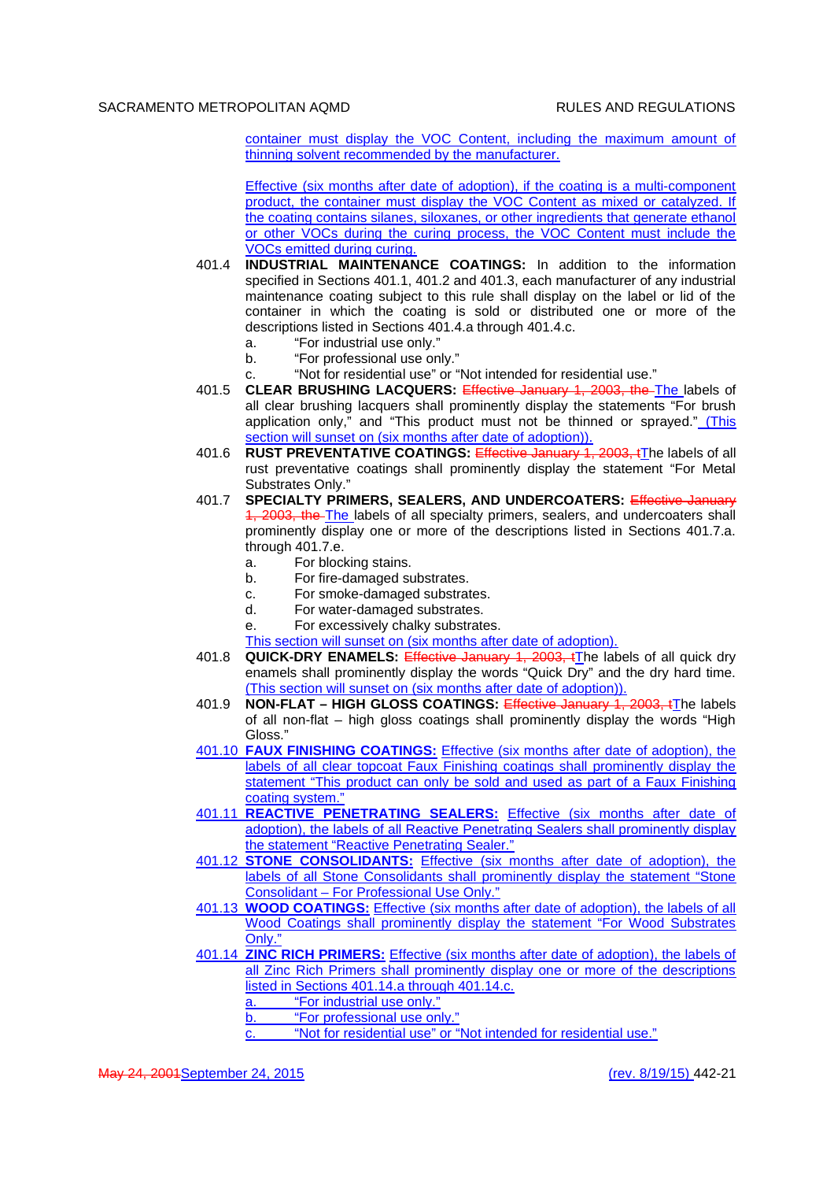container must display the VOC Content, including the maximum amount of thinning solvent recommended by the manufacturer.

Effective (six months after date of adoption), if the coating is a multi-component product, the container must display the VOC Content as mixed or catalyzed. If the coating contains silanes, siloxanes, or other ingredients that generate ethanol or other VOCs during the curing process, the VOC Content must include the VOCs emitted during curing.

- 401.4 **INDUSTRIAL MAINTENANCE COATINGS:** In addition to the information specified in Sections 401.1, 401.2 and 401.3, each manufacturer of any industrial maintenance coating subject to this rule shall display on the label or lid of the container in which the coating is sold or distributed one or more of the descriptions listed in Sections 401.4.a through 401.4.c.
	- a. "For industrial use only."
	- b. "For professional use only."
	- "Not for residential use" or "Not intended for residential use."
- 401.5 **CLEAR BRUSHING LACQUERS:** Effective January 1, 2003, the The labels of all clear brushing lacquers shall prominently display the statements "For brush application only," and "This product must not be thinned or sprayed." (This section will sunset on (six months after date of adoption)).
- 401.6 **RUST PREVENTATIVE COATINGS:** Effective January 1, 2003, tThe labels of all rust preventative coatings shall prominently display the statement "For Metal Substrates Only."
- 401.7 **SPECIALTY PRIMERS, SEALERS, AND UNDERCOATERS:** Effective January 1, 2003, the The labels of all specialty primers, sealers, and undercoaters shall prominently display one or more of the descriptions listed in Sections 401.7.a. through 401.7.e.
	- a. For blocking stains.
	- b. For fire-damaged substrates.
	- c. For smoke-damaged substrates.
	- d. For water-damaged substrates.
	- e. For excessively chalky substrates.
	- This section will sunset on (six months after date of adoption).
- 401.8 **QUICK-DRY ENAMELS:** Effective January 1, 2003, tThe labels of all quick dry enamels shall prominently display the words "Quick Dry" and the dry hard time. (This section will sunset on (six months after date of adoption)).
- 401.9 **NON-FLAT HIGH GLOSS COATINGS:** Effective January 1, 2003, tThe labels of all non-flat – high gloss coatings shall prominently display the words "High Gloss."
- 401.10 **FAUX FINISHING COATINGS:** Effective (six months after date of adoption), the labels of all clear topcoat Faux Finishing coatings shall prominently display the statement "This product can only be sold and used as part of a Faux Finishing coating system."
- 401.11 **REACTIVE PENETRATING SEALERS:** Effective (six months after date of adoption), the labels of all Reactive Penetrating Sealers shall prominently display the statement "Reactive Penetrating Sealer."
- 401.12 **STONE CONSOLIDANTS:** Effective (six months after date of adoption), the labels of all Stone Consolidants shall prominently display the statement "Stone" Consolidant – For Professional Use Only."
- 401.13 **WOOD COATINGS:** Effective (six months after date of adoption), the labels of all Wood Coatings shall prominently display the statement "For Wood Substrates Only."
- 401.14 **ZINC RICH PRIMERS:** Effective (six months after date of adoption), the labels of all Zinc Rich Primers shall prominently display one or more of the descriptions listed in Sections 401.14.a through 401.14.c.
	- a. "For industrial use only."
	- b. "For professional use only."
		- "Not for residential use" or "Not intended for residential use."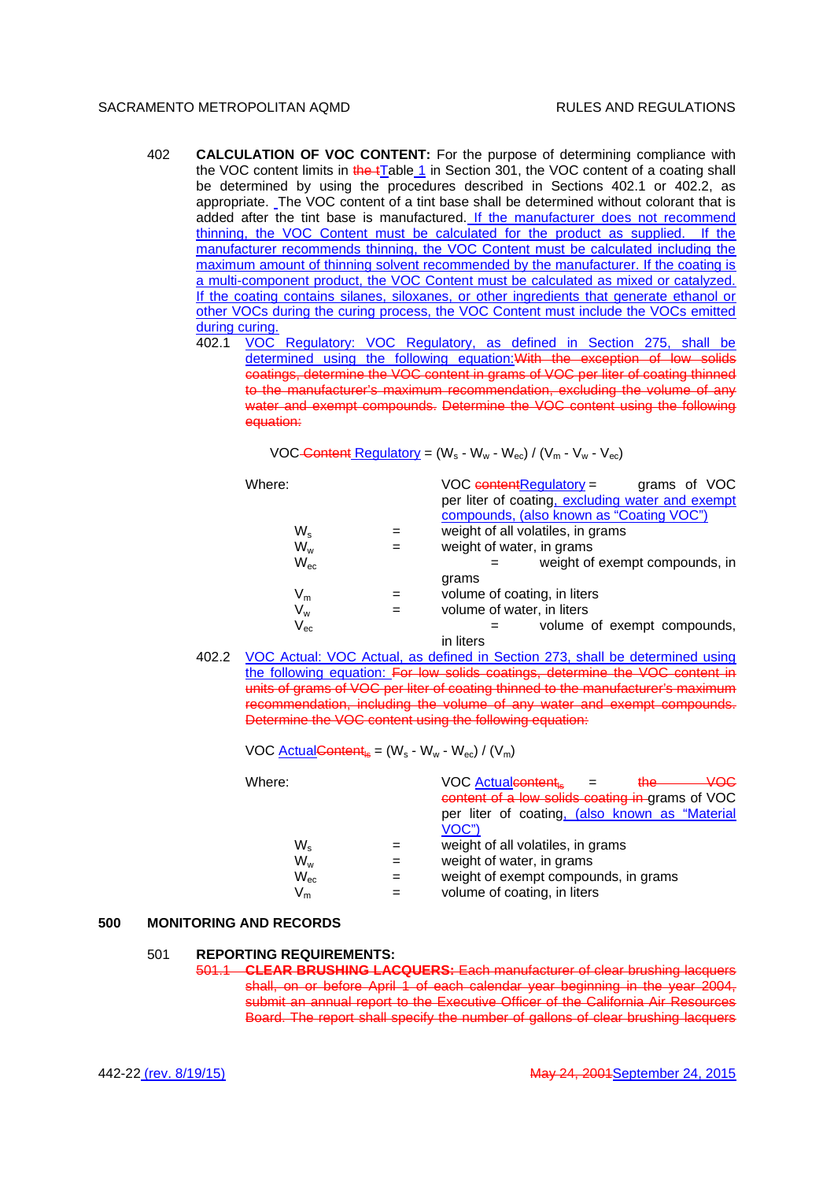- 402 **CALCULATION OF VOC CONTENT:** For the purpose of determining compliance with the VOC content limits in the tTable 1 in Section 301, the VOC content of a coating shall be determined by using the procedures described in Sections 402.1 or 402.2, as appropriate. The VOC content of a tint base shall be determined without colorant that is added after the tint base is manufactured. If the manufacturer does not recommend thinning, the VOC Content must be calculated for the product as supplied. If the manufacturer recommends thinning, the VOC Content must be calculated including the maximum amount of thinning solvent recommended by the manufacturer. If the coating is a multi-component product, the VOC Content must be calculated as mixed or catalyzed. If the coating contains silanes, siloxanes, or other ingredients that generate ethanol or other VOCs during the curing process, the VOC Content must include the VOCs emitted during curing.
	- 402.1 VOC Regulatory: VOC Regulatory, as defined in Section 275, shall be determined using the following equation:With the exception of low solids coatings, determine the VOC content in grams of VOC per liter of coating thinned to the manufacturer's maximum recommendation, excluding the volume of any water and exempt compounds. Determine the VOC content using the following equation:

VOC Content Regulatory =  $(W_s - W_w - W_{ec}) / (V_m - V_w - V_{ec})$ 

| Where:                     | $VOC$ content Regulatory = $q$ rams of VOC<br>per liter of coating, excluding water and exempt |
|----------------------------|------------------------------------------------------------------------------------------------|
|                            | compounds, (also known as "Coating VOC")                                                       |
| $W_{\rm s}$                | weight of all volatiles, in grams                                                              |
| $W_w$                      | weight of water, in grams                                                                      |
| $W_{\text{ec}}$            | weight of exempt compounds, in                                                                 |
|                            | grams                                                                                          |
| $\mathsf{V}_{\mathsf{m}}$  | volume of coating, in liters                                                                   |
| $\mathsf{V}_{\mathsf{w}}$  | volume of water, in liters                                                                     |
| $\mathsf{V}_{\mathsf{ec}}$ | volume of exempt compounds,                                                                    |
|                            | in liters                                                                                      |

402.2 VOC Actual: VOC Actual, as defined in Section 273, shall be determined using the following equation: For low solids coatings, determine the VOC content in units of grams of VOC per liter of coating thinned to the manufacturer's maximum recommendation, including the volume of any water and exempt compounds. Determine the VOC content using the following equation:

VOC Actual Content<sub>ls</sub> =  $(W_s - W_w - W_{ec}) / (V_m)$ 

| Where:                    | VOC Actualcontent<br>₩Q€<br><del>the</del><br>$\sim$ $\sim$<br>content of a low solids coating in grams of VOC<br>per liter of coating, (also known as "Material<br>VOC") |
|---------------------------|---------------------------------------------------------------------------------------------------------------------------------------------------------------------------|
| $W_{\rm s}$               | weight of all volatiles, in grams                                                                                                                                         |
| $W_w$                     | weight of water, in grams                                                                                                                                                 |
| $W_{\rm ec}$              | weight of exempt compounds, in grams                                                                                                                                      |
| $\mathsf{V}_{\mathsf{m}}$ | volume of coating, in liters                                                                                                                                              |

#### **500 MONITORING AND RECORDS**

#### 501 **REPORTING REQUIREMENTS:**

501.1 **CLEAR BRUSHING LACQUERS:** Each manufacturer of clear brushing lacquers shall, on or before April 1 of each calendar year beginning in the year 2004, submit an annual report to the Executive Officer of the California Air Resources Board. The report shall specify the number of gallons of clear brushing lacquers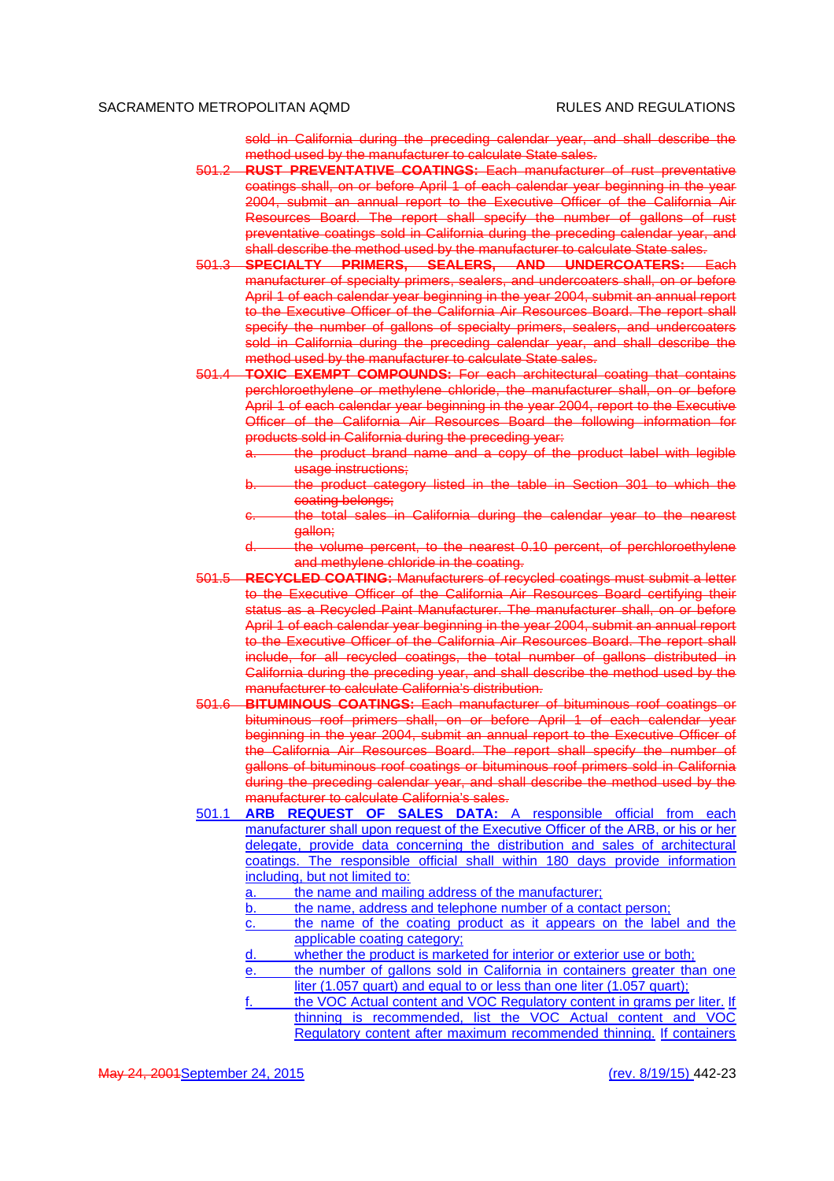sold in California during the preceding calendar year, and shall describe the method used by the manufacturer to calculate State sales.

- 501.2 **RUST PREVENTATIVE COATINGS:** Each manufacturer of rust preventative coatings shall, on or before April 1 of each calendar year beginning in the year 2004, submit an annual report to the Executive Officer of the California Air Resources Board. The report shall specify the number of gallons of rust preventative coatings sold in California during the preceding calendar year, and shall describe the method used by the manufacturer to calculate State sales.
- 501.3 **SPECIALTY PRIMERS, SEALERS, AND UNDERCOATERS:** Each manufacturer of specialty primers, sealers, and undercoaters shall, on or before April 1 of each calendar year beginning in the year 2004, submit an annual report to the Executive Officer of the California Air Resources Board. The report shall specify the number of gallons of specialty primers, sealers, and undercoaters sold in California during the preceding calendar year, and shall describe the method used by the manufacturer to calculate State sales.
- 501.4 **TOXIC EXEMPT COMPOUNDS:** For each architectural coating that contains perchloroethylene or methylene chloride, the manufacturer shall, on or before April 1 of each calendar year beginning in the year 2004, report to the Executive Officer of the California Air Resources Board the following information for products sold in California during the preceding year:
	- the product brand name and a copy of the product label with legible usage instructions;
	- the product category listed in the table in Section 301 to which the coating belongs;
	- the total sales in California during the calendar year to the nearest gallon;
	- the volume percent, to the nearest 0.10 percent, of perchloroethylene and methylene chloride in the coating.
- 501.5 **RECYCLED COATING:** Manufacturers of recycled coatings must submit a letter to the Executive Officer of the California Air Resources Board certifying their status as a Recycled Paint Manufacturer. The manufacturer shall, on or before April 1 of each calendar year beginning in the year 2004, submit an annual report to the Executive Officer of the California Air Resources Board. The report shall include, for all recycled coatings, the total number of gallons distributed in California during the preceding year, and shall describe the method used by the manufacturer to calculate California's distribution.
- 501.6 **BITUMINOUS COATINGS:** Each manufacturer of bituminous roof coatings or bituminous roof primers shall, on or before April 1 of each calendar year beginning in the year 2004, submit an annual report to the Executive Officer of the California Air Resources Board. The report shall specify the number of gallons of bituminous roof coatings or bituminous roof primers sold in California during the preceding calendar year, and shall describe the method used by the manufacturer to calculate California's sales.
- 501.1 **ARB REQUEST OF SALES DATA:** A responsible official from each manufacturer shall upon request of the Executive Officer of the ARB, or his or her delegate, provide data concerning the distribution and sales of architectural coatings. The responsible official shall within 180 days provide information including, but not limited to:

a. the name and mailing address of the manufacturer;

b. the name, address and telephone number of a contact person;

- c. the name of the coating product as it appears on the label and the applicable coating category;
- d. whether the product is marketed for interior or exterior use or both;
- the number of gallons sold in California in containers greater than one liter (1.057 quart) and equal to or less than one liter (1.057 quart);
- the VOC Actual content and VOC Regulatory content in grams per liter. If thinning is recommended, list the VOC Actual content and VOC Regulatory content after maximum recommended thinning. If containers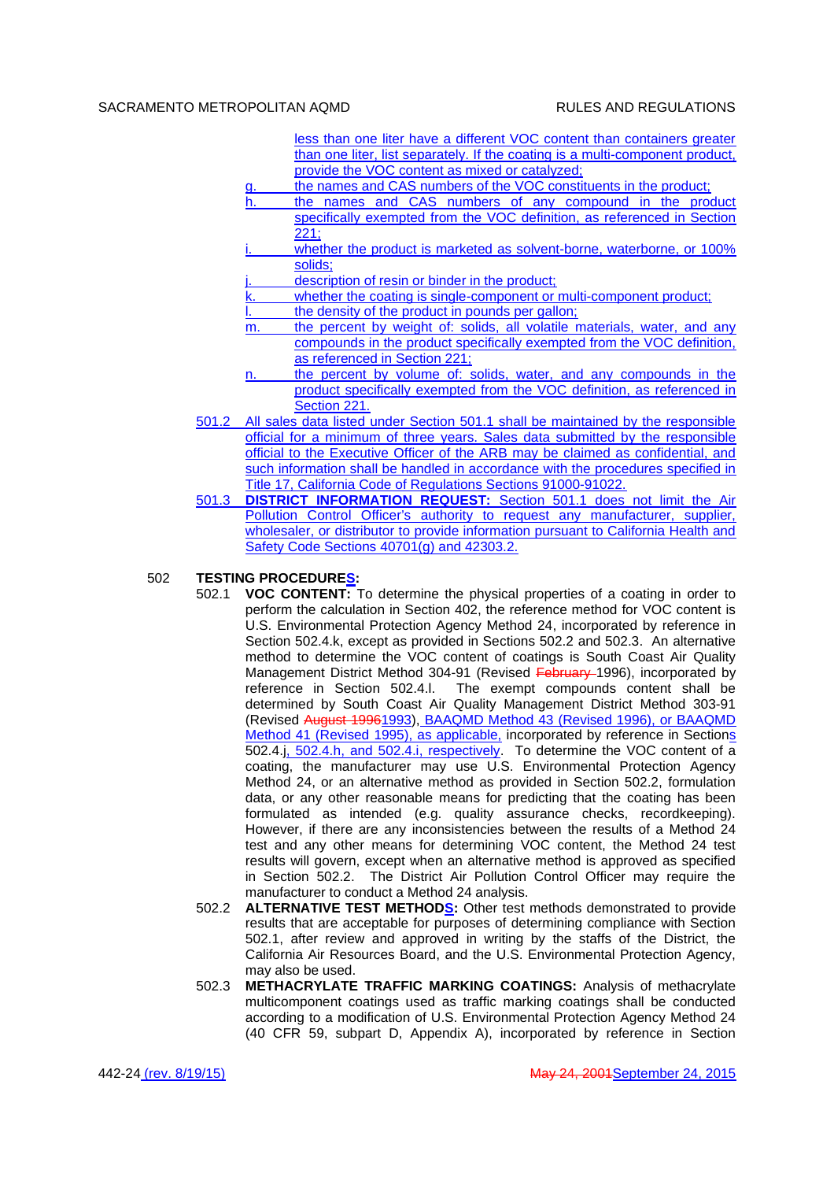- less than one liter have a different VOC content than containers greater than one liter, list separately. If the coating is a multi-component product, provide the VOC content as mixed or catalyzed;
- the names and CAS numbers of the VOC constituents in the product;
- h. the names and CAS numbers of any compound in the product specifically exempted from the VOC definition, as referenced in Section  $221:$
- whether the product is marketed as solvent-borne, waterborne, or 100% solids;
- description of resin or binder in the product:
- k. whether the coating is single-component or multi-component product;
	- the density of the product in pounds per gallon;
- m. the percent by weight of: solids, all volatile materials, water, and any compounds in the product specifically exempted from the VOC definition, as referenced in Section 221;
- n. the percent by volume of: solids, water, and any compounds in the product specifically exempted from the VOC definition, as referenced in Section 221.
- 501.2 All sales data listed under Section 501.1 shall be maintained by the responsible official for a minimum of three years. Sales data submitted by the responsible official to the Executive Officer of the ARB may be claimed as confidential, and such information shall be handled in accordance with the procedures specified in Title 17, California Code of Regulations Sections 91000-91022.
- 501.3 **DISTRICT INFORMATION REQUEST:** Section 501.1 does not limit the Air Pollution Control Officer's authority to request any manufacturer, supplier, wholesaler, or distributor to provide information pursuant to California Health and Safety Code Sections 40701(g) and 42303.2.

## 502 **TESTING PROCEDURES:**

- 502.1 **VOC CONTENT:** To determine the physical properties of a coating in order to perform the calculation in Section 402, the reference method for VOC content is U.S. Environmental Protection Agency Method 24, incorporated by reference in Section 502.4.k, except as provided in Sections 502.2 and 502.3. An alternative method to determine the VOC content of coatings is South Coast Air Quality Management District Method 304-91 (Revised February 1996), incorporated by reference in Section 502.4.l. The exempt compounds content shall be determined by South Coast Air Quality Management District Method 303-91 (Revised August 19961993), BAAQMD Method 43 (Revised 1996), or BAAQMD Method 41 (Revised 1995), as applicable, incorporated by reference in Sections 502.4.j, 502.4.h, and 502.4.i, respectively. To determine the VOC content of a coating, the manufacturer may use U.S. Environmental Protection Agency Method 24, or an alternative method as provided in Section 502.2, formulation data, or any other reasonable means for predicting that the coating has been formulated as intended (e.g. quality assurance checks, recordkeeping). However, if there are any inconsistencies between the results of a Method 24 test and any other means for determining VOC content, the Method 24 test results will govern, except when an alternative method is approved as specified in Section 502.2. The District Air Pollution Control Officer may require the manufacturer to conduct a Method 24 analysis.
- 502.2 **ALTERNATIVE TEST METHODS:** Other test methods demonstrated to provide results that are acceptable for purposes of determining compliance with Section 502.1, after review and approved in writing by the staffs of the District, the California Air Resources Board, and the U.S. Environmental Protection Agency, may also be used.
- 502.3 **METHACRYLATE TRAFFIC MARKING COATINGS:** Analysis of methacrylate multicomponent coatings used as traffic marking coatings shall be conducted according to a modification of U.S. Environmental Protection Agency Method 24 (40 CFR 59, subpart D, Appendix A), incorporated by reference in Section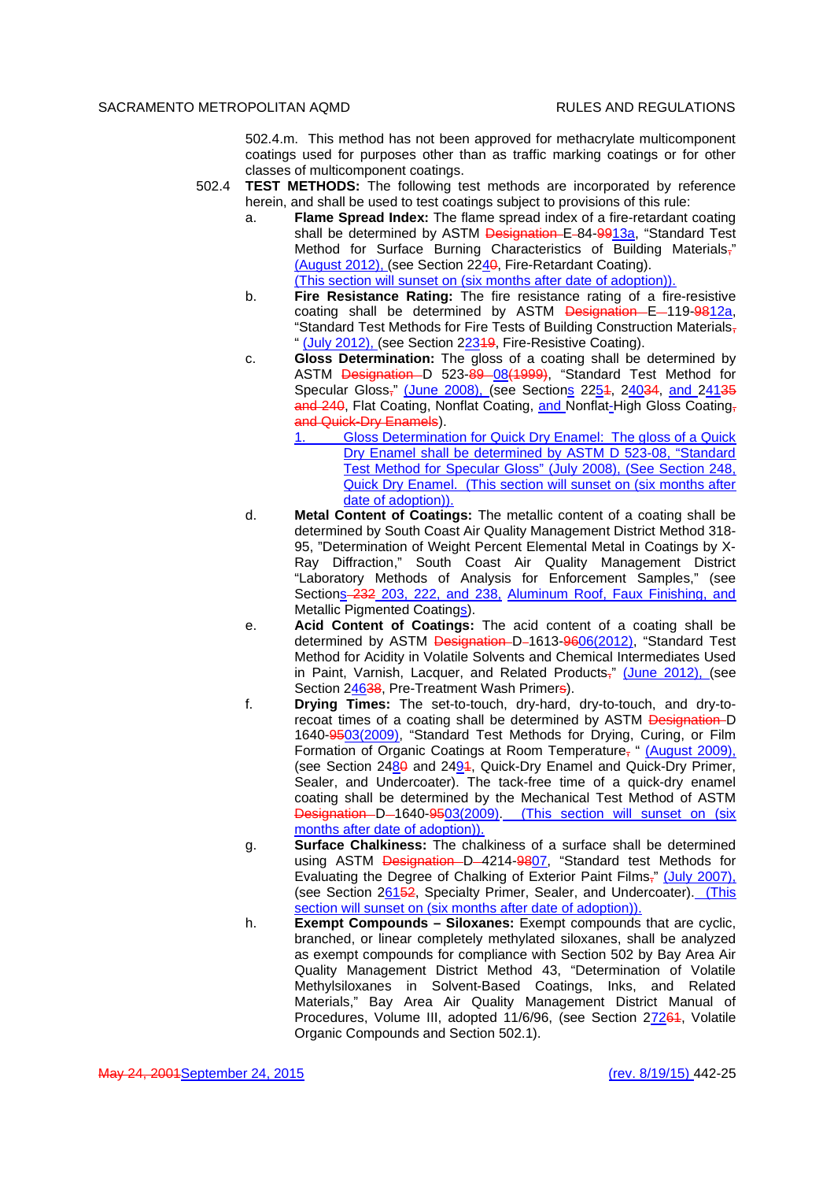502.4.m. This method has not been approved for methacrylate multicomponent coatings used for purposes other than as traffic marking coatings or for other classes of multicomponent coatings.

- 502.4 **TEST METHODS:** The following test methods are incorporated by reference herein, and shall be used to test coatings subject to provisions of this rule:
	- a. **Flame Spread Index:** The flame spread index of a fire-retardant coating shall be determined by ASTM Designation E-84-9913a, "Standard Test Method for Surface Burning Characteristics of Building Materials," (August 2012), (see Section 2240, Fire-Retardant Coating). (This section will sunset on (six months after date of adoption)).
	- b. **Fire Resistance Rating:** The fire resistance rating of a fire-resistive coating shall be determined by ASTM Designation E-119-9812a, "Standard Test Methods for Fire Tests of Building Construction Materials, " (July 2012), (see Section 22349, Fire-Resistive Coating).
	- c. **Gloss Determination:** The gloss of a coating shall be determined by ASTM Designation D 523-89 08(1999), "Standard Test Method for Specular Gloss," (June 2008), (see Sections 2251, 24034, and 24135 and 240, Flat Coating, Nonflat Coating, and Nonflat-High Gloss Coating, and Quick-Dry Enamels).
		- 1. Gloss Determination for Quick Dry Enamel: The gloss of a Quick Dry Enamel shall be determined by ASTM D 523-08, "Standard Test Method for Specular Gloss" (July 2008), (See Section 248, Quick Dry Enamel. (This section will sunset on (six months after date of adoption)).
	- d. **Metal Content of Coatings:** The metallic content of a coating shall be determined by South Coast Air Quality Management District Method 318- 95, "Determination of Weight Percent Elemental Metal in Coatings by X-Ray Diffraction," South Coast Air Quality Management District "Laboratory Methods of Analysis for Enforcement Samples," (see Sections-232 203, 222, and 238, Aluminum Roof, Faux Finishing, and Metallic Pigmented Coatings).
	- e. **Acid Content of Coatings:** The acid content of a coating shall be determined by ASTM Designation D-1613-9606(2012), "Standard Test Method for Acidity in Volatile Solvents and Chemical Intermediates Used in Paint, Varnish, Lacquer, and Related Products," (June 2012), (see Section 24638, Pre-Treatment Wash Primers).
	- f. **Drying Times:** The set-to-touch, dry-hard, dry-to-touch, and dry-torecoat times of a coating shall be determined by ASTM Designation D 1640-9503(2009), "Standard Test Methods for Drying, Curing, or Film Formation of Organic Coatings at Room Temperature, " (August 2009), (see Section  $2480$  and  $2494$ , Quick-Dry Enamel and Quick-Dry Primer, Sealer, and Undercoater). The tack-free time of a quick-dry enamel coating shall be determined by the Mechanical Test Method of ASTM Designation D-1640-9503(2009). (This section will sunset on (six months after date of adoption)).
	- g. **Surface Chalkiness:** The chalkiness of a surface shall be determined using ASTM Designation D-4214-9807, "Standard test Methods for Evaluating the Degree of Chalking of Exterior Paint Films," (July 2007), (see Section 26152, Specialty Primer, Sealer, and Undercoater). (This section will sunset on (six months after date of adoption)).
	- h. **Exempt Compounds Siloxanes:** Exempt compounds that are cyclic, branched, or linear completely methylated siloxanes, shall be analyzed as exempt compounds for compliance with Section 502 by Bay Area Air Quality Management District Method 43, "Determination of Volatile Methylsiloxanes in Solvent-Based Coatings, Inks, and Related Materials," Bay Area Air Quality Management District Manual of Procedures, Volume III, adopted 11/6/96, (see Section 27264, Volatile Organic Compounds and Section 502.1).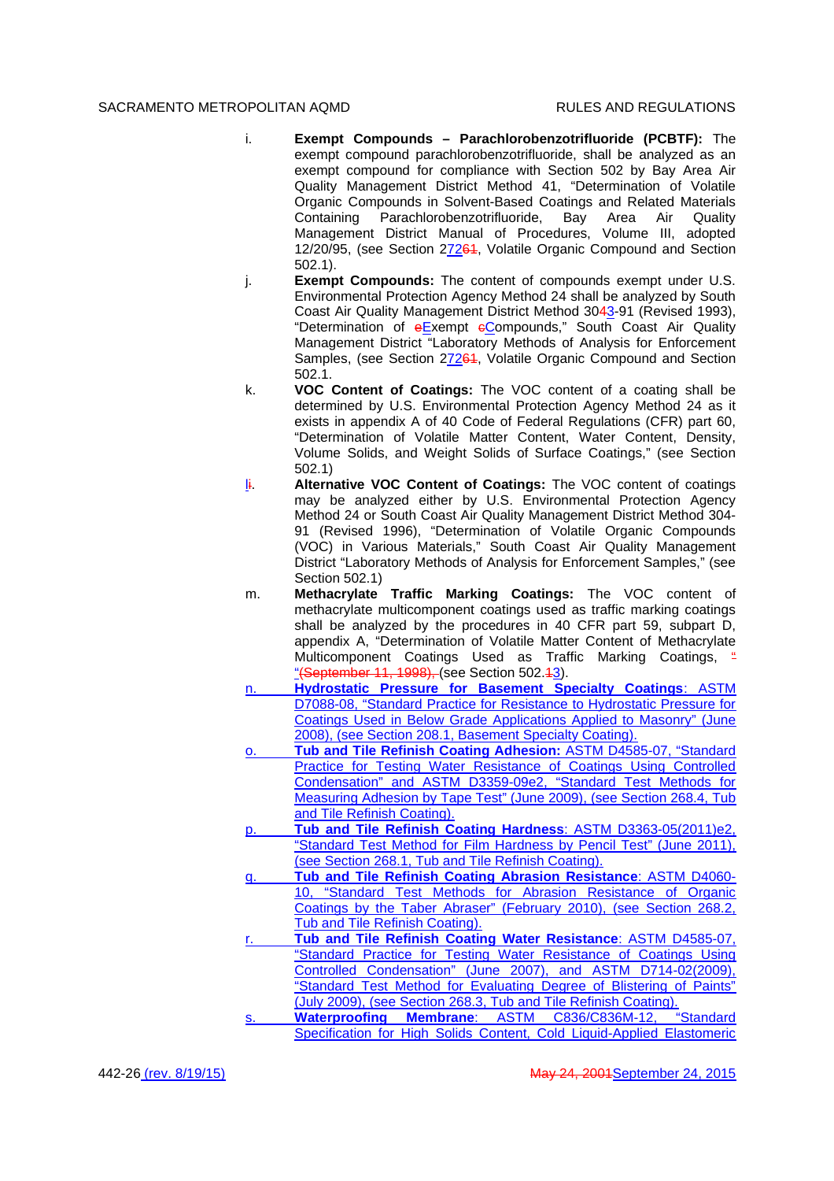- i. **Exempt Compounds Parachlorobenzotrifluoride (PCBTF):** The exempt compound parachlorobenzotrifluoride, shall be analyzed as an exempt compound for compliance with Section 502 by Bay Area Air Quality Management District Method 41, "Determination of Volatile Organic Compounds in Solvent-Based Coatings and Related Materials Containing Parachlorobenzotrifluoride, Bay Area Air Quality Management District Manual of Procedures, Volume III, adopted 12/20/95, (see Section 27264, Volatile Organic Compound and Section 502.1).
- j. **Exempt Compounds:** The content of compounds exempt under U.S. Environmental Protection Agency Method 24 shall be analyzed by South Coast Air Quality Management District Method 3043-91 (Revised 1993), "Determination of eExempt eCompounds," South Coast Air Quality Management District "Laboratory Methods of Analysis for Enforcement Samples, (see Section 27264, Volatile Organic Compound and Section 502.1.
- k. **VOC Content of Coatings:** The VOC content of a coating shall be determined by U.S. Environmental Protection Agency Method 24 as it exists in appendix A of 40 Code of Federal Regulations (CFR) part 60, "Determination of Volatile Matter Content, Water Content, Density, Volume Solids, and Weight Solids of Surface Coatings," (see Section 502.1)
- li. **Alternative VOC Content of Coatings:** The VOC content of coatings may be analyzed either by U.S. Environmental Protection Agency Method 24 or South Coast Air Quality Management District Method 304- 91 (Revised 1996), "Determination of Volatile Organic Compounds (VOC) in Various Materials," South Coast Air Quality Management District "Laboratory Methods of Analysis for Enforcement Samples," (see Section 502.1)
- m. **Methacrylate Traffic Marking Coatings:** The VOC content of methacrylate multicomponent coatings used as traffic marking coatings shall be analyzed by the procedures in 40 CFR part 59, subpart D, appendix A, "Determination of Volatile Matter Content of Methacrylate Multicomponent Coatings Used as Traffic Marking Coatings,  $\frac{a}{2}$ "(September 11, 1998), (see Section 502.43).
- n. **Hydrostatic Pressure for Basement Specialty Coatings**: ASTM D7088-08, "Standard Practice for Resistance to Hydrostatic Pressure for Coatings Used in Below Grade Applications Applied to Masonry" (June 2008), (see Section 208.1, Basement Specialty Coating).
- **Tub and Tile Refinish Coating Adhesion: ASTM D4585-07, "Standard** Practice for Testing Water Resistance of Coatings Using Controlled Condensation" and ASTM D3359-09e2, "Standard Test Methods for Measuring Adhesion by Tape Test" (June 2009), (see Section 268.4, Tub and Tile Refinish Coating).
- p. **Tub and Tile Refinish Coating Hardness**: ASTM D3363-05(2011)e2, "Standard Test Method for Film Hardness by Pencil Test" (June 2011), (see Section 268.1, Tub and Tile Refinish Coating).
- q. **Tub and Tile Refinish Coating Abrasion Resistance**: ASTM D4060- 10, "Standard Test Methods for Abrasion Resistance of Organic Coatings by the Taber Abraser" (February 2010), (see Section 268.2, Tub and Tile Refinish Coating).
- Tub and Tile Refinish Coating Water Resistance: ASTM D4585-07, "Standard Practice for Testing Water Resistance of Coatings Using Controlled Condensation" (June 2007), and ASTM D714-02(2009), "Standard Test Method for Evaluating Degree of Blistering of Paints" (July 2009), (see Section 268.3, Tub and Tile Refinish Coating).
- Waterproofing Membrane: ASTM C836/C836M-12, Specification for High Solids Content, Cold Liquid-Applied Elastomeric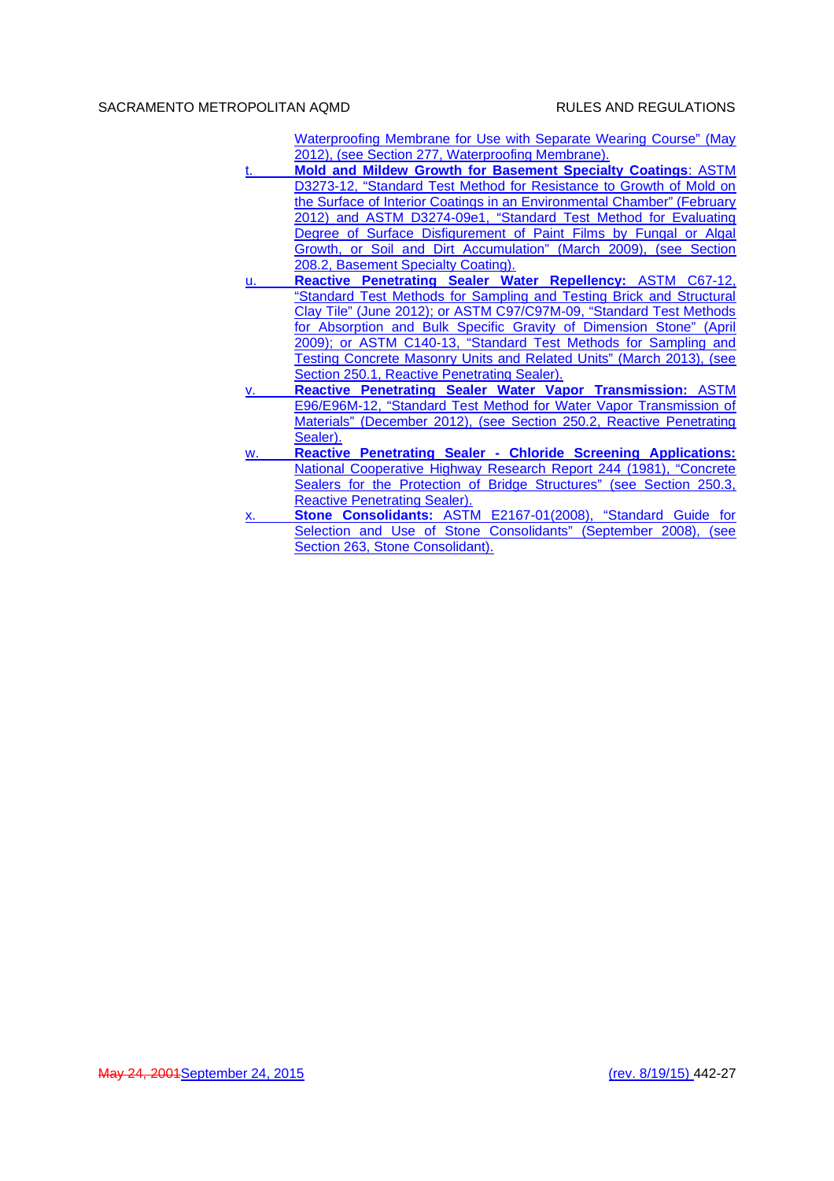Waterproofing Membrane for Use with Separate Wearing Course" (May 2012), (see Section 277, Waterproofing Membrane).

- t. **Mold and Mildew Growth for Basement Specialty Coatings**: ASTM D3273-12, "Standard Test Method for Resistance to Growth of Mold on the Surface of Interior Coatings in an Environmental Chamber" (February 2012) and ASTM D3274-09e1, "Standard Test Method for Evaluating Degree of Surface Disfigurement of Paint Films by Fungal or Algal Growth, or Soil and Dirt Accumulation" (March 2009), (see Section 208.2, Basement Specialty Coating).
- u. **Reactive Penetrating Sealer Water Repellency:** ASTM C67-12, "Standard Test Methods for Sampling and Testing Brick and Structural Clay Tile" (June 2012); or ASTM C97/C97M-09, "Standard Test Methods for Absorption and Bulk Specific Gravity of Dimension Stone" (April 2009); or ASTM C140-13, "Standard Test Methods for Sampling and Testing Concrete Masonry Units and Related Units" (March 2013), (see Section 250.1, Reactive Penetrating Sealer).
- v. **Reactive Penetrating Sealer Water Vapor Transmission:** ASTM E96/E96M-12, "Standard Test Method for Water Vapor Transmission of Materials" (December 2012), (see Section 250.2, Reactive Penetrating Sealer).
- w. **Reactive Penetrating Sealer Chloride Screening Applications:** National Cooperative Highway Research Report 244 (1981), "Concrete Sealers for the Protection of Bridge Structures" (see Section 250.3, Reactive Penetrating Sealer).
- **Stone Consolidants: ASTM E2167-01(2008), "Standard Guide for** Selection and Use of Stone Consolidants" (September 2008), (see Section 263, Stone Consolidant).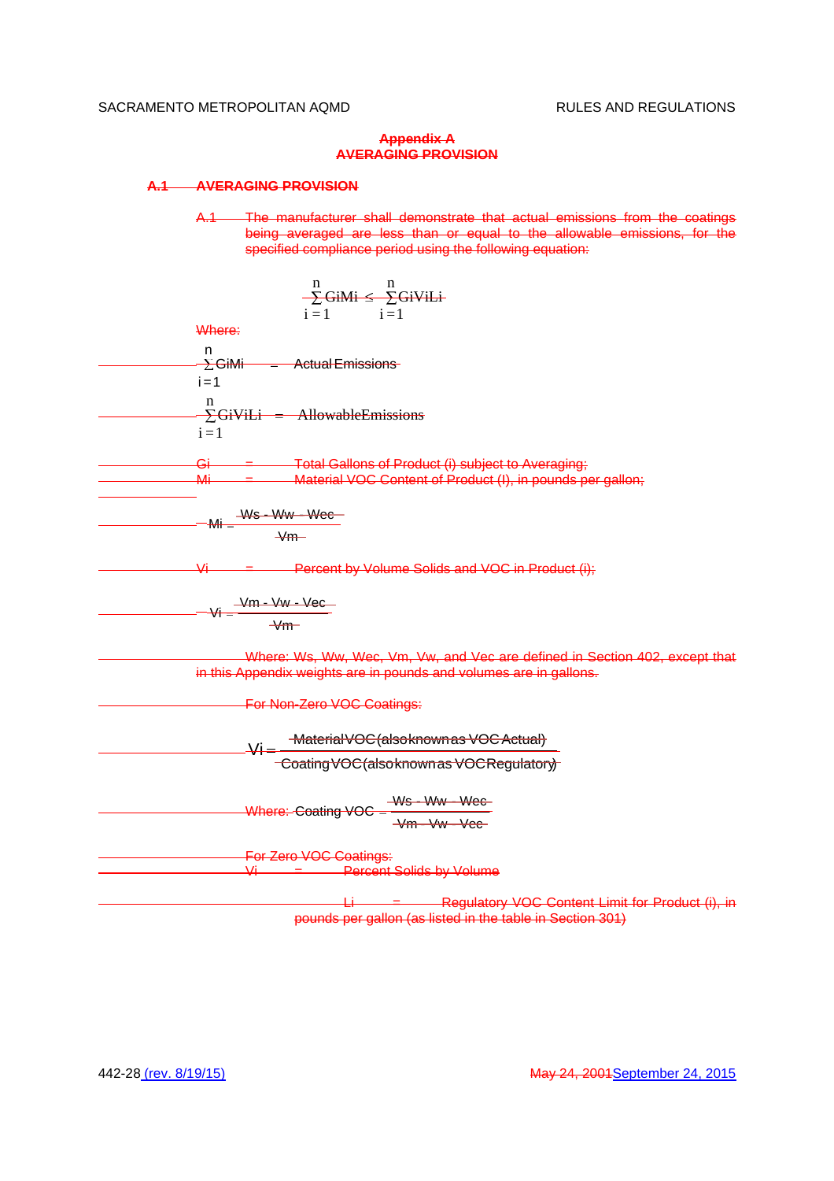## **Appendix A AVERAGING PROVISION**

## **A.1 AVERAGING PROVISION**

A.1 The manufacturer shall demonstrate that actual emissions from the coatings being averaged are less than or equal to the allowable emissions, for the specified compliance period using the following equation:

$$
\frac{1}{2} \cdot \frac{1}{2} \cdot \frac{1}{2} = 1
$$
\nWhere:

\n

| n | 2 |
|---|---|
| n | 2 |
| n | 2 |
| n | 2 |
| n | 2 |
| n | 3 |
| n | 4 |
| n | 5 |
| n | 6 |
| n | 7 |
| n | 8 |
| n | 9 |
| n | 1 |
| n | 1 |
| n | 1 |
| n | 1 |
| n | 1 |
| n | 1 |
| n | 1 |
| n | 1 |
| n | 1 |
| n | 1 |
| n | 1 |
| n | 1 |
| n | 1 |
| n | 1 |
| n | 1 |
| n | 1 |
| n | 1 |
| n | 1 |
| n | 1 |
| n | 1 |
| n | 1 |
| n | 1 |
| n | 1 |
| n | 1 |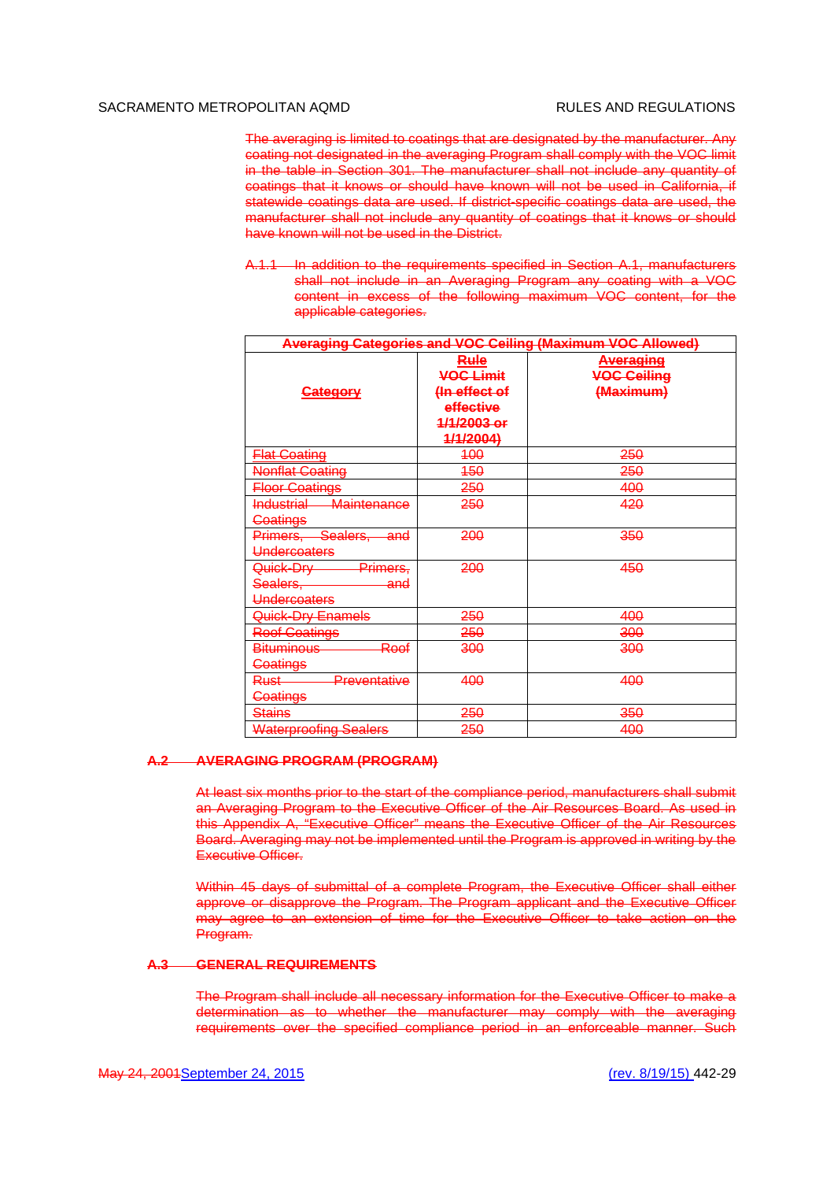The averaging is limited to coatings that are designated by the manufacturer. Any coating not designated in the averaging Program shall comply with the VOC limit in the table in Section 301. The manufacturer shall not include any quantity of coatings that it knows or should have known will not be used in California, if statewide coatings data are used. If district-specific coatings data are used, the manufacturer shall not include any quantity of coatings that it knows or should have known will not be used in the District.

A.1.1 In addition to the requirements specified in Section A.1, manufacturers shall not include in an Averaging Program any coating with a VOC content in excess of the following maximum VOC content, for the applicable categories.

| <b>Averaging Categories and VOC Ceiling (Maximum VOC Allowed)</b>                |                                                                                           |                                                         |  |
|----------------------------------------------------------------------------------|-------------------------------------------------------------------------------------------|---------------------------------------------------------|--|
| <del>Category</del>                                                              | <b>Rule</b><br><b>VOC Limit</b><br>(In effect of<br>effective<br>1/1/2003 or<br>4/1/2004) | <del>Averaging</del><br><b>VOC Ceiling</b><br>(Maximum) |  |
| <b>Flat Coating</b>                                                              | <del>100</del>                                                                            | 250                                                     |  |
| <b>Nonflat Goating</b>                                                           | <del>150</del>                                                                            | <del>250</del>                                          |  |
| <b>Floor Coatings</b>                                                            | 250                                                                                       | 400                                                     |  |
| <b>Industrial</b><br><b>Maintenance</b><br><b>Coatings</b>                       | 250                                                                                       | 420                                                     |  |
| Primers, Sealers, and<br>Undercoaters                                            | 200                                                                                       | 350                                                     |  |
| Primers,<br><del>Quick-Dry -</del><br><del>Sealers,</del><br>and<br>Undercoaters | 200                                                                                       | 450                                                     |  |
| Quick-Dry Enamels                                                                | 250                                                                                       | 400                                                     |  |
| <b>Roof Coatings</b>                                                             | <del>250</del>                                                                            | <del>300</del>                                          |  |
| <del>Roof</del><br><b>Bituminous</b><br><b>Coatings</b>                          | 300                                                                                       | <del>300</del>                                          |  |
| <del>Preventative</del><br><del>Rust</del><br><b>Coatings</b>                    | 400                                                                                       | 400                                                     |  |
| <del>Stains</del>                                                                | 250                                                                                       | 350                                                     |  |
| <b>Waterproofing Sealers</b>                                                     | 250                                                                                       | 400                                                     |  |

## **A.2 AVERAGING PROGRAM (PROGRAM)**

At least six months prior to the start of the compliance period, manufacturers shall submit an Averaging Program to the Executive Officer of the Air Resources Board. As used in this Appendix A, "Executive Officer" means the Executive Officer of the Air Resources Board. Averaging may not be implemented until the Program is approved in writing by the Executive Officer.

Within 45 days of submittal of a complete Program, the Executive Officer shall either approve or disapprove the Program. The Program applicant and the Executive Officer may agree to an extension of time for the Executive Officer to take action on the Program.

#### **A.3 GENERAL REQUIREMENTS**

The Program shall include all necessary information for the Executive Officer to make a determination as to whether the manufacturer may comply with the averaging requirements over the specified compliance period in an enforceable manner. Such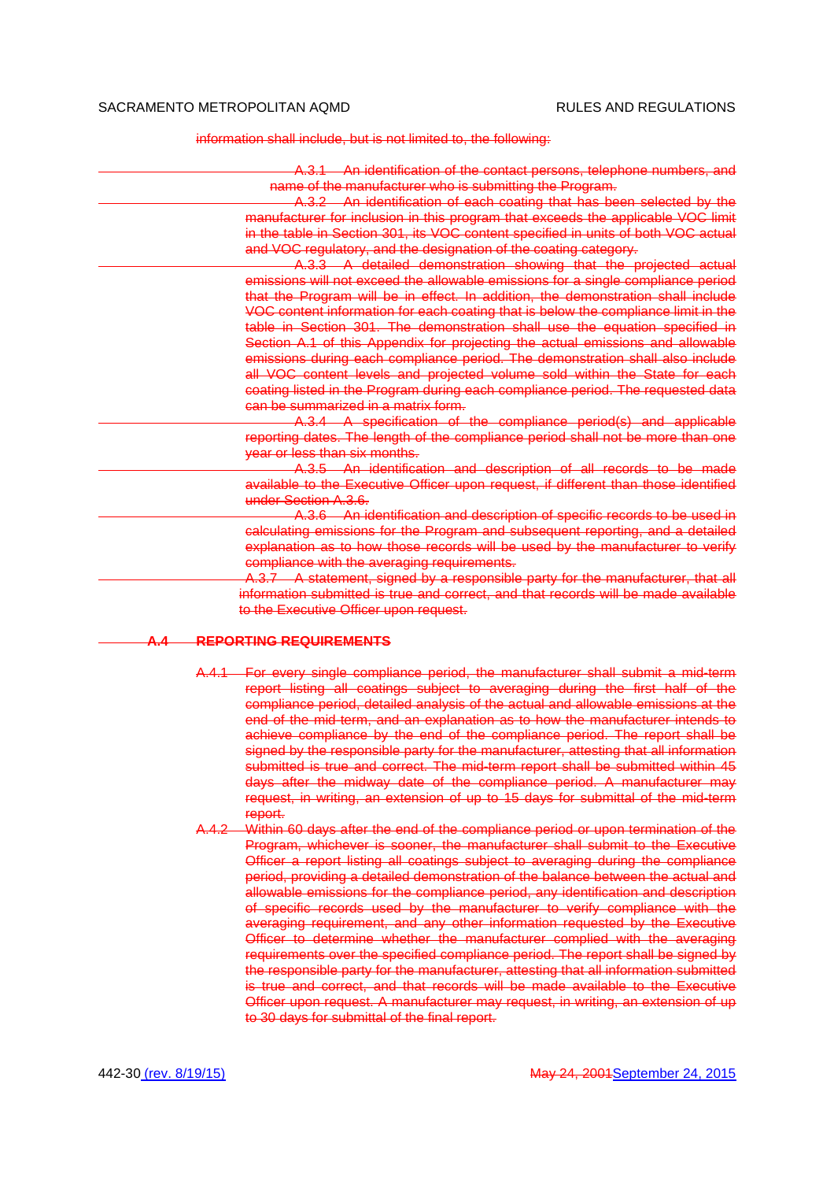information shall include, but is not limited to, the following:

|                                                                  | A.3.1 An identification of the contact persons, telephone numbers, and              |
|------------------------------------------------------------------|-------------------------------------------------------------------------------------|
| name of the manufacturer who is submitting the Program.          |                                                                                     |
|                                                                  | A.3.2 An identification of each coating that has been selected by the               |
|                                                                  | manufacturer for inclusion in this program that exceeds the applicable VOC limit    |
|                                                                  | in the table in Section 301, its VOC content specified in units of both VOC actual  |
| and VOC regulatory, and the designation of the coating category. |                                                                                     |
|                                                                  | A.3.3 A detailed demonstration showing that the projected actual                    |
|                                                                  | emissions will not exceed the allowable emissions for a single compliance period    |
|                                                                  | that the Program will be in effect. In addition, the demonstration shall include    |
|                                                                  | VOC content information for each coating that is below the compliance limit in the  |
|                                                                  | table in Section 301. The demonstration shall use the equation specified in         |
|                                                                  | Section A.1 of this Appendix for projecting the actual emissions and allowable      |
|                                                                  | emissions during each compliance period. The demonstration shall also include       |
|                                                                  | all VOC content levels and projected volume sold within the State for each          |
|                                                                  | coating listed in the Program during each compliance period. The requested data     |
| can be summarized in a matrix form.                              |                                                                                     |
|                                                                  | A.3.4 A specification of the compliance period(s) and applicable                    |
|                                                                  | reporting dates. The length of the compliance period shall not be more than one     |
| year or less than six months.                                    |                                                                                     |
|                                                                  | A.3.5 An identification and description of all records to be made                   |
| under Section A.3.6.                                             | available to the Executive Officer upon request, if different than those identified |
|                                                                  | A.3.6 An identification and description of specific records to be used in           |
|                                                                  | calculating emissions for the Program and subsequent reporting, and a detailed      |
|                                                                  | explanation as to how those records will be used by the manufacturer to verify      |
| compliance with the averaging requirements.                      |                                                                                     |
|                                                                  | A.3.7 A statement, signed by a responsible party for the manufacturer, that all     |
|                                                                  | information submitted is true and correct, and that records will be made available  |
| to the Executive Officer upon request.                           |                                                                                     |
|                                                                  |                                                                                     |
| <b>REPORTING REQUIREMENTS</b><br>А. 4                            |                                                                                     |
|                                                                  |                                                                                     |

- A.4.1 For every single compliance period, the manufacturer shall submit a mid-term report listing all coatings subject to averaging during the first half of the compliance period, detailed analysis of the actual and allowable emissions at the end of the mid-term, and an explanation as to how the manufacturer intends to achieve compliance by the end of the compliance period. The report shall be signed by the responsible party for the manufacturer, attesting that all information submitted is true and correct. The mid-term report shall be submitted within 45 days after the midway date of the compliance period. A manufacturer may request, in writing, an extension of up to 15 days for submittal of the mid-term report.
- A.4.2 Within 60 days after the end of the compliance period or upon termination of the Program, whichever is sooner, the manufacturer shall submit to the Executive Officer a report listing all coatings subject to averaging during the compliance period, providing a detailed demonstration of the balance between the actual and allowable emissions for the compliance period, any identification and description of specific records used by the manufacturer to verify compliance with the averaging requirement, and any other information requested by the Executive Officer to determine whether the manufacturer complied with the averaging requirements over the specified compliance period. The report shall be signed by the responsible party for the manufacturer, attesting that all information submitted is true and correct, and that records will be made available to the Executive Officer upon request. A manufacturer may request, in writing, an extension of up to 30 days for submittal of the final report.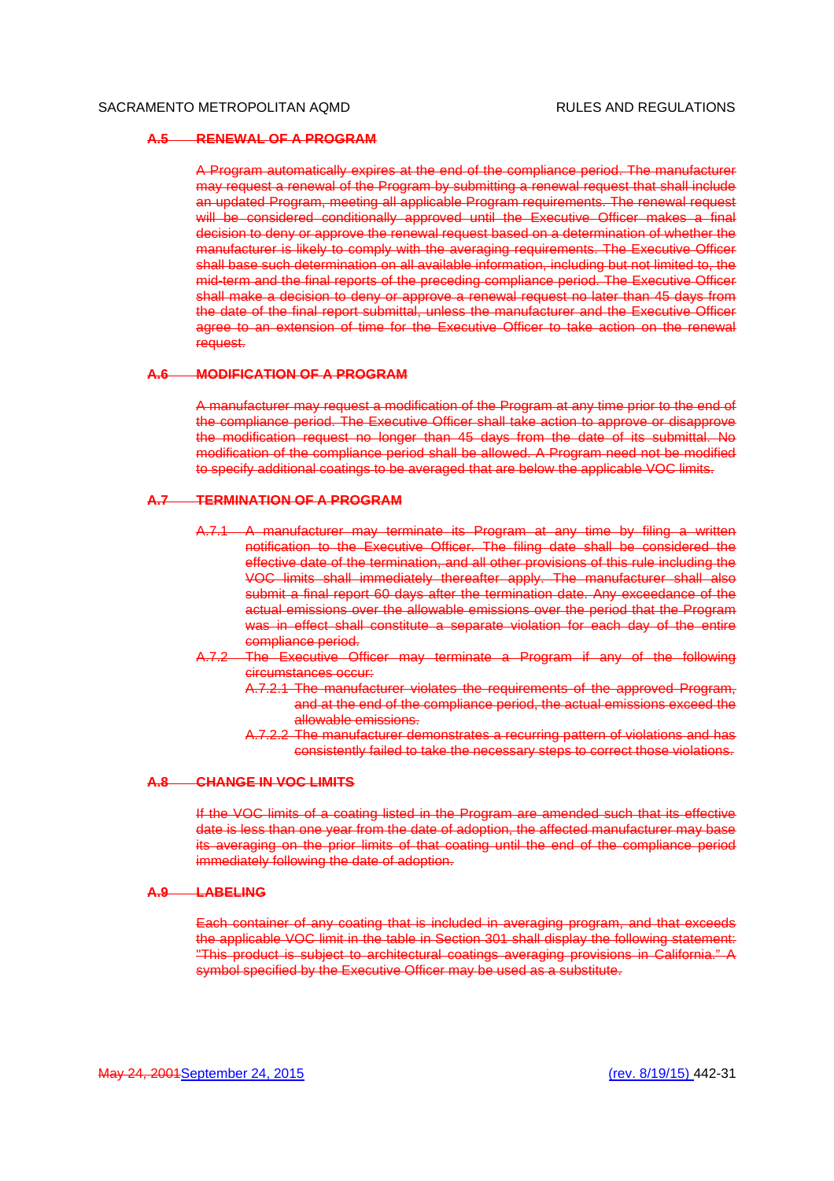### **A.5 RENEWAL OF A PROGRAM**

A Program automatically expires at the end of the compliance period. The manufacturer may request a renewal of the Program by submitting a renewal request that shall include an updated Program, meeting all applicable Program requirements. The renewal request will be considered conditionally approved until the Executive Officer makes a final decision to deny or approve the renewal request based on a determination of whether the manufacturer is likely to comply with the averaging requirements. The Executive Officer shall base such determination on all available information, including but not limited to, the mid-term and the final reports of the preceding compliance period. The Executive Officer shall make a decision to deny or approve a renewal request no later than 45 days from the date of the final report submittal, unless the manufacturer and the Executive Officer agree to an extension of time for the Executive Officer to take action on the renewal request.

#### **A.6 MODIFICATION OF A PROGRAM**

A manufacturer may request a modification of the Program at any time prior to the end of the compliance period. The Executive Officer shall take action to approve or disapprove the modification request no longer than 45 days from the date of its submittal. No modification of the compliance period shall be allowed. A Program need not be modified to specify additional coatings to be averaged that are below the applicable VOC limits.

### **A.7 TERMINATION OF A PROGRAM**

- A.7.1 A manufacturer may terminate its Program at any time by filing a written notification to the Executive Officer. The filing date shall be considered the effective date of the termination, and all other provisions of this rule including the VOC limits shall immediately thereafter apply. The manufacturer shall also submit a final report 60 days after the termination date. Any exceedance of the actual emissions over the allowable emissions over the period that the Program was in effect shall constitute a separate violation for each day of the entire compliance period.
- A.7.2 The Executive Officer may terminate a Program if any of the following circumstances occur:
	- A.7.2.1 The manufacturer violates the requirements of the approved Program, and at the end of the compliance period, the actual emissions exceed the allowable emissions.
	- A.7.2.2 The manufacturer demonstrates a recurring pattern of violations and has consistently failed to take the necessary steps to correct those violations.

### **A.8 CHANGE IN VOC LIMITS**

If the VOC limits of a coating listed in the Program are amended such that its effective date is less than one year from the date of adoption, the affected manufacturer may base its averaging on the prior limits of that coating until the end of the compliance period immediately following the date of adoption.

## **A.9 LABELING**

Each container of any coating that is included in averaging program, and that exceeds the applicable VOC limit in the table in Section 301 shall display the following statement: "This product is subject to architectural coatings averaging provisions in California." A symbol specified by the Executive Officer may be used as a substitute.